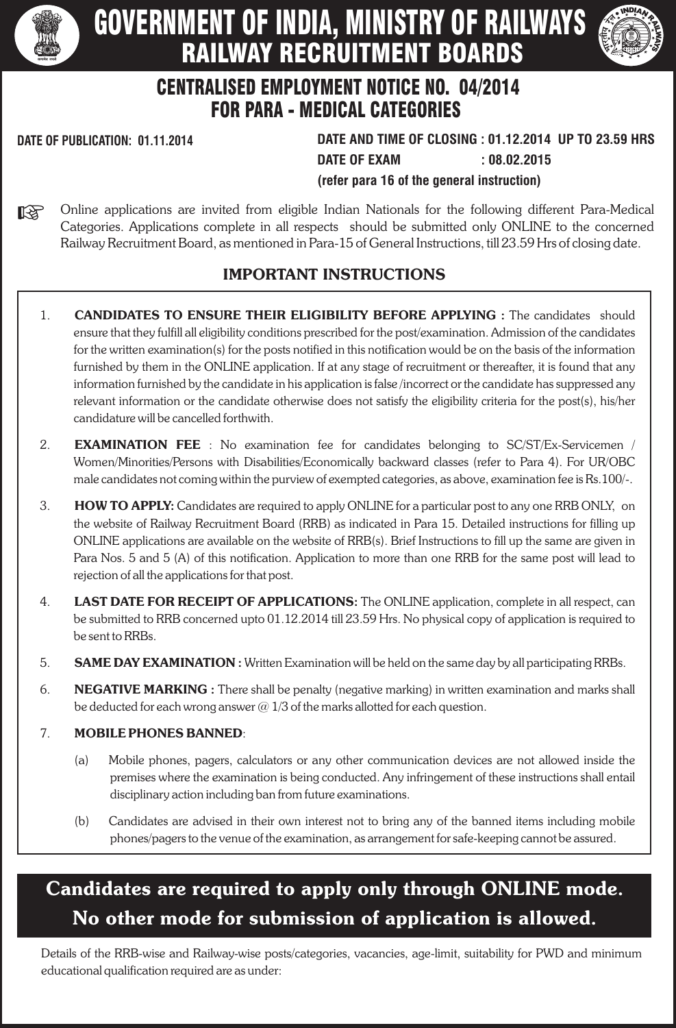

# GOVERNMENT OF INDIA, MINISTRY OF RAILWAYS RAILWAY RECRUITMENT BOARDS



# CENTRALISED EMPLOYMENT NOTICE NO. 04/2014 FOR PARA - MEDICAL CATEGORIES

**DATE OF PUBLICATION: 01.11.2014 DATE AND TIME OF CLOSING : 01.12.2014 UP TO 23.59 HRS DATE OF EXAM : 08.02.2015 (refer para 16 of the general instruction)**

Online applications are invited from eligible Indian Nationals for the following different Para-Medical 咚 Categories. Applications complete in all respects should be submitted only ONLINE to the concerned Railway Recruitment Board, as mentioned in Para-15 of General Instructions, till 23.59 Hrs of closing date.

# IMPORTANT INSTRUCTIONS

- 1. **CANDIDATES TO ENSURE THEIR ELIGIBILITY BEFORE APPLYING** : The candidates should ensure that they fulfill all eligibility conditions prescribed for the post/examination. Admission of the candidates for the written examination(s) for the posts notified in this notification would be on the basis of the information furnished by them in the ONLINE application. If at any stage of recruitment or thereafter, it is found that any information furnished by the candidate in his application is false /incorrect or the candidate has suppressed any relevant information or the candidate otherwise does not satisfy the eligibility criteria for the post(s), his/her candidature will be cancelled forthwith.
- 2. EXAMINATION FEE : No examination fee for candidates belonging to SC/ST/Ex-Servicemen / Women/Minorities/Persons with Disabilities/Economically backward classes (refer to Para 4). For UR/OBC male candidates not coming within the purview of exempted categories, as above, examination fee is Rs.100/-.
- 3. **HOW TO APPLY:** Candidates are required to apply ONLINE for a particular post to any one RRB ONLY, on the website of Railway Recruitment Board (RRB) as indicated in Para 15. Detailed instructions for filling up ONLINE applications are available on the website of RRB(s). Brief Instructions to fill up the same are given in Para Nos. 5 and 5 (A) of this notification. Application to more than one RRB for the same post will lead to rejection of all the applications for that post.
- 4. LAST DATE FOR RECEIPT OF APPLICATIONS: The ONLINE application, complete in all respect, can be submitted to RRB concerned upto 01.12.2014 till 23.59 Hrs. No physical copy of application is required to be sent to RRBs.
- 5. SAME DAY EXAMINATION: Written Examination will be held on the same day by all participating RRBs.
- 6. NEGATIVE MARKING : There shall be penalty (negative marking) in written examination and marks shall be deducted for each wrong answer  $\omega$  1/3 of the marks allotted for each question.

# 7. MOBILE PHONES BANNED:

- (a) Mobile phones, pagers, calculators or any other communication devices are not allowed inside the premises where the examination is being conducted. Any infringement of these instructions shall entail disciplinary action including ban from future examinations.
- (b) Candidates are advised in their own interest not to bring any of the banned items including mobile phones/pagers to the venue of the examination, as arrangement for safe-keeping cannot be assured.

# Candidates are required to apply only through ONLINE mode. No other mode for submission of application is allowed.

Details of the RRB-wise and Railway-wise posts/categories, vacancies, age-limit, suitability for PWD and minimum educational qualification required are as under: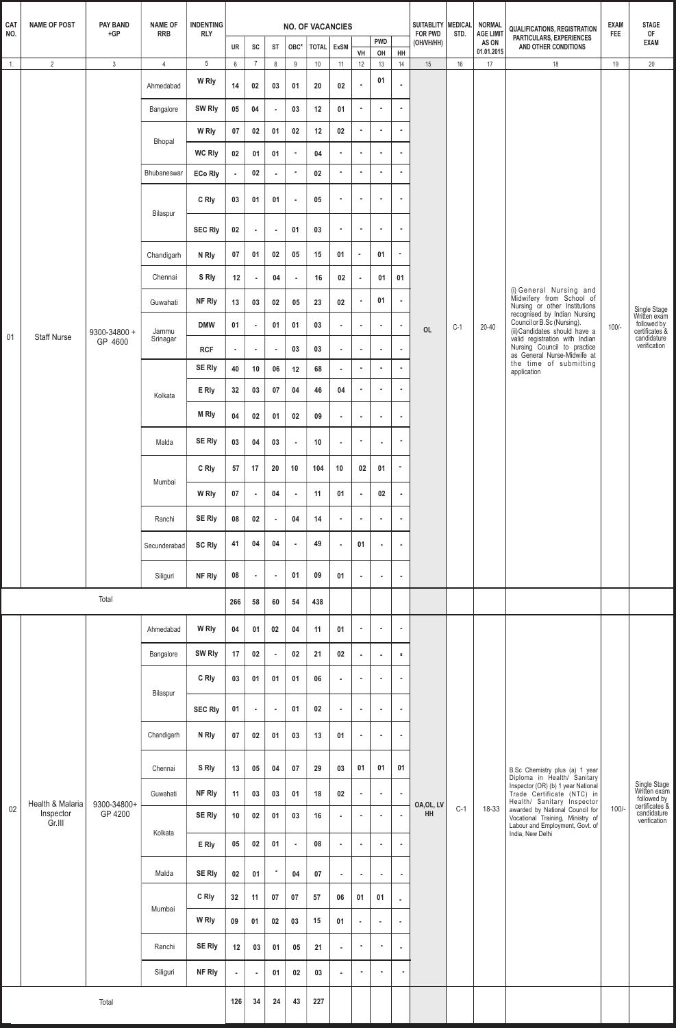| <b>FOR PWD</b><br><b>AGE LIMIT</b><br>NO.<br>$+GP$<br><b>RRB</b><br><b>RLY</b><br>STD.<br>PARTICULARS, EXPERIENCES<br><b>PWD</b><br>(OH/VH/HH)<br>AS ON<br>UR<br>SC<br>AND OTHER CONDITIONS<br><b>ST</b><br>OBC*<br><b>TOTAL</b><br><b>ExSM</b><br>01.01.2015<br>VH<br>HH<br>OH<br>$\mathbf{3}$<br>$5\phantom{.0}$<br>16<br>$\overline{2}$<br>12<br>13<br>$14\,$<br>$\overline{4}$<br>$6\overline{6}$<br>$\overline{7}$<br>8<br>9<br>$10$<br>15<br>17<br>18<br>$\overline{1}$ .<br>11<br>01<br>W Rly<br>14<br>${\bf 02}$<br>$\blacksquare$<br>02<br>03<br>20<br>01<br>Ahmedabad<br>SW Rly<br>05<br>04<br>12<br>03<br>01<br>$\sim$<br>$\tilde{\phantom{a}}$<br>Bangalore<br>$\blacksquare$<br>$\sim$<br>12<br>$02\,$<br>W Rly<br>07<br>02<br>01<br>02<br>$\blacksquare$<br>$\tilde{\phantom{a}}$<br>$\blacksquare$<br>Bhopal<br><b>WC Rly</b><br>$02\phantom{.0}$<br>04<br>01<br>$\blacksquare$<br>$\blacksquare$<br>01<br>$\bullet$<br>٠<br>$\bullet$<br>$02\,$<br>×.<br>×<br>Bhubaneswar<br><b>ECo Rly</b><br>$\bullet$<br>02<br>×<br>٠<br>×,<br>$\blacksquare$<br>C Rly<br>03<br>01<br>01<br>05<br>$\bullet$<br>×<br>$\bullet$<br>$\sim$<br>$\blacksquare$<br>Bilaspur<br>$\bullet$<br>$\sim$<br><b>SEC Rly</b><br>$02\,$<br>03<br>$\blacksquare$<br>01<br>$\sim$<br>$\sim$<br>$\alpha$<br>07<br>02<br>05<br>15<br>01<br>01<br>01<br>$\bullet$<br>N Rly<br>×<br>Chandigarh<br>S Rly<br>Chennai<br>12<br>04<br>16<br>02<br>01<br>01<br>$\bullet$<br>$\bullet$<br>$\sim$<br>(i) General Nursing and<br>Midwifery from School of<br>01<br>NF Rly<br>$\bullet$<br>Guwahati<br>13<br>03<br>02<br>05<br>23<br>02<br>٠<br>Nursing or other Institutions<br>recognised by Indian Nursing<br>Council or B.Sc (Nursing).<br><b>DMW</b><br>01<br>01<br>03<br>01<br>$\sim$<br>$\alpha$<br>$\mathcal{L}_{\mathcal{A}}$<br>$\sim$<br>$\bullet$<br>$C-1$<br>20-40<br><b>OL</b><br>(ii) Candidates should have a<br>9300-34800 +<br>Jammu | <b>FEE</b><br>19<br>$100/-$ | OF<br><b>EXAM</b><br>$20\,$<br>Single Stage<br>Written exam<br>followed by<br>certificates & |
|-----------------------------------------------------------------------------------------------------------------------------------------------------------------------------------------------------------------------------------------------------------------------------------------------------------------------------------------------------------------------------------------------------------------------------------------------------------------------------------------------------------------------------------------------------------------------------------------------------------------------------------------------------------------------------------------------------------------------------------------------------------------------------------------------------------------------------------------------------------------------------------------------------------------------------------------------------------------------------------------------------------------------------------------------------------------------------------------------------------------------------------------------------------------------------------------------------------------------------------------------------------------------------------------------------------------------------------------------------------------------------------------------------------------------------------------------------------------------------------------------------------------------------------------------------------------------------------------------------------------------------------------------------------------------------------------------------------------------------------------------------------------------------------------------------------------------------------------------------------------------------------------------------------------------------|-----------------------------|----------------------------------------------------------------------------------------------|
|                                                                                                                                                                                                                                                                                                                                                                                                                                                                                                                                                                                                                                                                                                                                                                                                                                                                                                                                                                                                                                                                                                                                                                                                                                                                                                                                                                                                                                                                                                                                                                                                                                                                                                                                                                                                                                                                                                                             |                             |                                                                                              |
|                                                                                                                                                                                                                                                                                                                                                                                                                                                                                                                                                                                                                                                                                                                                                                                                                                                                                                                                                                                                                                                                                                                                                                                                                                                                                                                                                                                                                                                                                                                                                                                                                                                                                                                                                                                                                                                                                                                             |                             |                                                                                              |
|                                                                                                                                                                                                                                                                                                                                                                                                                                                                                                                                                                                                                                                                                                                                                                                                                                                                                                                                                                                                                                                                                                                                                                                                                                                                                                                                                                                                                                                                                                                                                                                                                                                                                                                                                                                                                                                                                                                             |                             |                                                                                              |
|                                                                                                                                                                                                                                                                                                                                                                                                                                                                                                                                                                                                                                                                                                                                                                                                                                                                                                                                                                                                                                                                                                                                                                                                                                                                                                                                                                                                                                                                                                                                                                                                                                                                                                                                                                                                                                                                                                                             |                             |                                                                                              |
|                                                                                                                                                                                                                                                                                                                                                                                                                                                                                                                                                                                                                                                                                                                                                                                                                                                                                                                                                                                                                                                                                                                                                                                                                                                                                                                                                                                                                                                                                                                                                                                                                                                                                                                                                                                                                                                                                                                             |                             |                                                                                              |
|                                                                                                                                                                                                                                                                                                                                                                                                                                                                                                                                                                                                                                                                                                                                                                                                                                                                                                                                                                                                                                                                                                                                                                                                                                                                                                                                                                                                                                                                                                                                                                                                                                                                                                                                                                                                                                                                                                                             |                             |                                                                                              |
|                                                                                                                                                                                                                                                                                                                                                                                                                                                                                                                                                                                                                                                                                                                                                                                                                                                                                                                                                                                                                                                                                                                                                                                                                                                                                                                                                                                                                                                                                                                                                                                                                                                                                                                                                                                                                                                                                                                             |                             |                                                                                              |
|                                                                                                                                                                                                                                                                                                                                                                                                                                                                                                                                                                                                                                                                                                                                                                                                                                                                                                                                                                                                                                                                                                                                                                                                                                                                                                                                                                                                                                                                                                                                                                                                                                                                                                                                                                                                                                                                                                                             |                             |                                                                                              |
|                                                                                                                                                                                                                                                                                                                                                                                                                                                                                                                                                                                                                                                                                                                                                                                                                                                                                                                                                                                                                                                                                                                                                                                                                                                                                                                                                                                                                                                                                                                                                                                                                                                                                                                                                                                                                                                                                                                             |                             |                                                                                              |
|                                                                                                                                                                                                                                                                                                                                                                                                                                                                                                                                                                                                                                                                                                                                                                                                                                                                                                                                                                                                                                                                                                                                                                                                                                                                                                                                                                                                                                                                                                                                                                                                                                                                                                                                                                                                                                                                                                                             |                             |                                                                                              |
|                                                                                                                                                                                                                                                                                                                                                                                                                                                                                                                                                                                                                                                                                                                                                                                                                                                                                                                                                                                                                                                                                                                                                                                                                                                                                                                                                                                                                                                                                                                                                                                                                                                                                                                                                                                                                                                                                                                             |                             |                                                                                              |
|                                                                                                                                                                                                                                                                                                                                                                                                                                                                                                                                                                                                                                                                                                                                                                                                                                                                                                                                                                                                                                                                                                                                                                                                                                                                                                                                                                                                                                                                                                                                                                                                                                                                                                                                                                                                                                                                                                                             |                             |                                                                                              |
| 01<br><b>Staff Nurse</b><br>valid registration with Indian<br>Srinagar<br>GP 4600<br>Nursing Council to practice<br>03<br>03<br><b>RCF</b><br>$\sim$<br>$\sim$<br>$\alpha$<br>×<br>$\bullet$<br>$\bullet$<br>$\blacksquare$<br>as General Nurse-Midwife at                                                                                                                                                                                                                                                                                                                                                                                                                                                                                                                                                                                                                                                                                                                                                                                                                                                                                                                                                                                                                                                                                                                                                                                                                                                                                                                                                                                                                                                                                                                                                                                                                                                                  |                             | candidature<br>verification                                                                  |
| the time of submitting<br><b>SE Rly</b><br>$\bullet$<br>68<br>٠<br>$\blacksquare$<br>40<br>10<br>${\bf 06}$<br>12<br>$\alpha$<br>application                                                                                                                                                                                                                                                                                                                                                                                                                                                                                                                                                                                                                                                                                                                                                                                                                                                                                                                                                                                                                                                                                                                                                                                                                                                                                                                                                                                                                                                                                                                                                                                                                                                                                                                                                                                |                             |                                                                                              |
| E Rly<br>32<br>03<br>07<br>04<br>46<br>04<br>$\blacksquare$<br>$\tilde{\phantom{a}}$<br>٠<br>Kolkata                                                                                                                                                                                                                                                                                                                                                                                                                                                                                                                                                                                                                                                                                                                                                                                                                                                                                                                                                                                                                                                                                                                                                                                                                                                                                                                                                                                                                                                                                                                                                                                                                                                                                                                                                                                                                        |                             |                                                                                              |
| <b>M Rly</b><br>04<br>02<br>01<br>02<br>09<br>$\sim$<br>×<br>$\bullet$<br>$\sim$                                                                                                                                                                                                                                                                                                                                                                                                                                                                                                                                                                                                                                                                                                                                                                                                                                                                                                                                                                                                                                                                                                                                                                                                                                                                                                                                                                                                                                                                                                                                                                                                                                                                                                                                                                                                                                            |                             |                                                                                              |
| SE Rly<br>Malda<br>03<br>04<br>03<br>10<br>$\sim$<br>$\bullet$<br>$\epsilon$<br>$\blacksquare$<br>$\bullet$                                                                                                                                                                                                                                                                                                                                                                                                                                                                                                                                                                                                                                                                                                                                                                                                                                                                                                                                                                                                                                                                                                                                                                                                                                                                                                                                                                                                                                                                                                                                                                                                                                                                                                                                                                                                                 |                             |                                                                                              |
| C Rly<br>57<br>104<br>02<br>$\bullet$<br>17<br>20<br>10<br>01<br>10<br>Mumbai                                                                                                                                                                                                                                                                                                                                                                                                                                                                                                                                                                                                                                                                                                                                                                                                                                                                                                                                                                                                                                                                                                                                                                                                                                                                                                                                                                                                                                                                                                                                                                                                                                                                                                                                                                                                                                               |                             |                                                                                              |
| W Rly<br>07<br>04<br>11<br>02<br>01<br>$\sim$<br>$\blacksquare$<br>$\tilde{\phantom{a}}$                                                                                                                                                                                                                                                                                                                                                                                                                                                                                                                                                                                                                                                                                                                                                                                                                                                                                                                                                                                                                                                                                                                                                                                                                                                                                                                                                                                                                                                                                                                                                                                                                                                                                                                                                                                                                                    |                             |                                                                                              |
| SE Rly<br>08<br>02<br>04<br>14<br>Ranchi<br>$\bullet$<br>$\sim$<br>$\epsilon$<br>$\epsilon$<br>$\bullet$                                                                                                                                                                                                                                                                                                                                                                                                                                                                                                                                                                                                                                                                                                                                                                                                                                                                                                                                                                                                                                                                                                                                                                                                                                                                                                                                                                                                                                                                                                                                                                                                                                                                                                                                                                                                                    |                             |                                                                                              |
| 49<br>41<br>04<br>04<br>01<br><b>SC Rly</b><br>$\bullet$<br>$\sim$<br>Secunderabad<br>$\bullet$<br>$\blacksquare$                                                                                                                                                                                                                                                                                                                                                                                                                                                                                                                                                                                                                                                                                                                                                                                                                                                                                                                                                                                                                                                                                                                                                                                                                                                                                                                                                                                                                                                                                                                                                                                                                                                                                                                                                                                                           |                             |                                                                                              |
| 08<br>01<br>09<br>NF Rly<br>01<br>Siliguri<br>$\bullet$<br>$\bullet$<br>$\bullet$<br>$\bullet$<br>$\blacksquare$                                                                                                                                                                                                                                                                                                                                                                                                                                                                                                                                                                                                                                                                                                                                                                                                                                                                                                                                                                                                                                                                                                                                                                                                                                                                                                                                                                                                                                                                                                                                                                                                                                                                                                                                                                                                            |                             |                                                                                              |
| Total<br>266<br>58<br>54<br>438<br>60                                                                                                                                                                                                                                                                                                                                                                                                                                                                                                                                                                                                                                                                                                                                                                                                                                                                                                                                                                                                                                                                                                                                                                                                                                                                                                                                                                                                                                                                                                                                                                                                                                                                                                                                                                                                                                                                                       |                             |                                                                                              |
| W Rly<br>04<br>01<br>02<br>04<br>11<br>01<br>$\bullet$<br>$\epsilon$<br>Ahmedabad<br>$\sim$                                                                                                                                                                                                                                                                                                                                                                                                                                                                                                                                                                                                                                                                                                                                                                                                                                                                                                                                                                                                                                                                                                                                                                                                                                                                                                                                                                                                                                                                                                                                                                                                                                                                                                                                                                                                                                 |                             |                                                                                              |
| SW Rly<br>17<br>02<br>02<br>21<br>02<br>Bangalore<br>$\blacksquare$<br>$\sim$<br>$\bullet$<br>$\epsilon$                                                                                                                                                                                                                                                                                                                                                                                                                                                                                                                                                                                                                                                                                                                                                                                                                                                                                                                                                                                                                                                                                                                                                                                                                                                                                                                                                                                                                                                                                                                                                                                                                                                                                                                                                                                                                    |                             |                                                                                              |
| C Rly<br>03<br>06<br>01<br>01<br>01<br>$\bullet$<br>$\mathcal{L}_{\mathcal{A}}$<br>$\bullet$<br>$\sim$<br>Bilaspur                                                                                                                                                                                                                                                                                                                                                                                                                                                                                                                                                                                                                                                                                                                                                                                                                                                                                                                                                                                                                                                                                                                                                                                                                                                                                                                                                                                                                                                                                                                                                                                                                                                                                                                                                                                                          |                             |                                                                                              |
| 01<br>01<br>02<br><b>SEC RIy</b><br>$\bullet$<br>$\bullet$<br>$\mathcal{L}_{\mathcal{A}}$<br>$\epsilon$<br>$\bullet$<br>$\bullet$                                                                                                                                                                                                                                                                                                                                                                                                                                                                                                                                                                                                                                                                                                                                                                                                                                                                                                                                                                                                                                                                                                                                                                                                                                                                                                                                                                                                                                                                                                                                                                                                                                                                                                                                                                                           |                             |                                                                                              |
| N Rly<br>Chandigarh<br>07<br>02<br>01<br>03<br>13<br>01<br>$\mathcal{L}_{\mathcal{A}}$<br>$\bullet$<br>$\bullet$                                                                                                                                                                                                                                                                                                                                                                                                                                                                                                                                                                                                                                                                                                                                                                                                                                                                                                                                                                                                                                                                                                                                                                                                                                                                                                                                                                                                                                                                                                                                                                                                                                                                                                                                                                                                            |                             |                                                                                              |
| S Rly<br>01<br>01<br>01<br>13<br>05<br>04<br>07<br>29<br>03<br>Chennai<br>B.Sc Chemistry plus (a) 1 year<br>Diploma in Health/ Sanitary                                                                                                                                                                                                                                                                                                                                                                                                                                                                                                                                                                                                                                                                                                                                                                                                                                                                                                                                                                                                                                                                                                                                                                                                                                                                                                                                                                                                                                                                                                                                                                                                                                                                                                                                                                                     |                             | Single Stage<br>Written exam<br>followed by<br>certificates &                                |
| Inspector (OR) (b) 1 year National<br>NF Rly<br>11<br>03<br>03<br>18<br>02<br>Trade Certificate (NTC) in<br>Guwahati<br>01<br>$\bullet$<br>$\bullet$<br>$\bullet$<br>Health/ Sanitary Inspector<br>Health & Malaria<br>9300-34800+<br>OA, OL, LV                                                                                                                                                                                                                                                                                                                                                                                                                                                                                                                                                                                                                                                                                                                                                                                                                                                                                                                                                                                                                                                                                                                                                                                                                                                                                                                                                                                                                                                                                                                                                                                                                                                                            |                             |                                                                                              |
| $C-1$<br>02<br>18-33<br>awarded by National Council for<br><b>HH</b><br>Inspector<br>GP 4200<br>SE Rly<br>10<br>02<br>01<br>03<br>16<br>$\mathcal{L}_{\mathcal{A}}$<br>$\epsilon$<br>$\sim$<br>$\bullet$<br>Vocational Training, Ministry of<br>Gr.III<br>Labour and Employment, Govt. of<br>Kolkata<br>India, New Delhi                                                                                                                                                                                                                                                                                                                                                                                                                                                                                                                                                                                                                                                                                                                                                                                                                                                                                                                                                                                                                                                                                                                                                                                                                                                                                                                                                                                                                                                                                                                                                                                                    | $100/-$                     | candidature<br>verification                                                                  |
| 05<br>02<br>01<br>08<br>E Rly<br>$\bullet$<br>٠<br>$\bullet$<br>$\sim$<br>$\blacksquare$                                                                                                                                                                                                                                                                                                                                                                                                                                                                                                                                                                                                                                                                                                                                                                                                                                                                                                                                                                                                                                                                                                                                                                                                                                                                                                                                                                                                                                                                                                                                                                                                                                                                                                                                                                                                                                    |                             |                                                                                              |
| <b>SE Rly</b><br>ж.<br>Malda<br>04<br>02<br>01<br>07<br>$\bullet$<br>$\epsilon$<br>$\bullet$<br>$\blacksquare$                                                                                                                                                                                                                                                                                                                                                                                                                                                                                                                                                                                                                                                                                                                                                                                                                                                                                                                                                                                                                                                                                                                                                                                                                                                                                                                                                                                                                                                                                                                                                                                                                                                                                                                                                                                                              |                             |                                                                                              |
| C Rly<br>32<br>11<br>07<br>57<br>06<br>07<br>01<br>01<br>$\bullet$<br>Mumbai                                                                                                                                                                                                                                                                                                                                                                                                                                                                                                                                                                                                                                                                                                                                                                                                                                                                                                                                                                                                                                                                                                                                                                                                                                                                                                                                                                                                                                                                                                                                                                                                                                                                                                                                                                                                                                                |                             |                                                                                              |
| W Rly<br>09<br>01<br>02<br>03<br>15<br>01<br>$\bullet$<br>$\sim$<br>$\sim$                                                                                                                                                                                                                                                                                                                                                                                                                                                                                                                                                                                                                                                                                                                                                                                                                                                                                                                                                                                                                                                                                                                                                                                                                                                                                                                                                                                                                                                                                                                                                                                                                                                                                                                                                                                                                                                  |                             |                                                                                              |
| <b>SE Rly</b><br>12<br>03<br>05<br>Ranchi<br>01<br>21<br>٠<br>$\sim$<br>$\bullet$<br>$\epsilon$                                                                                                                                                                                                                                                                                                                                                                                                                                                                                                                                                                                                                                                                                                                                                                                                                                                                                                                                                                                                                                                                                                                                                                                                                                                                                                                                                                                                                                                                                                                                                                                                                                                                                                                                                                                                                             |                             |                                                                                              |
| NF Rly<br>Siliguri<br>02<br>03<br>01<br>$\bullet$<br>$\sim$<br>$\sim$<br>$\blacksquare$<br>$\sim$<br>$\sim$                                                                                                                                                                                                                                                                                                                                                                                                                                                                                                                                                                                                                                                                                                                                                                                                                                                                                                                                                                                                                                                                                                                                                                                                                                                                                                                                                                                                                                                                                                                                                                                                                                                                                                                                                                                                                 |                             |                                                                                              |
| 126<br>43<br>227<br>Total<br>34<br>24                                                                                                                                                                                                                                                                                                                                                                                                                                                                                                                                                                                                                                                                                                                                                                                                                                                                                                                                                                                                                                                                                                                                                                                                                                                                                                                                                                                                                                                                                                                                                                                                                                                                                                                                                                                                                                                                                       |                             |                                                                                              |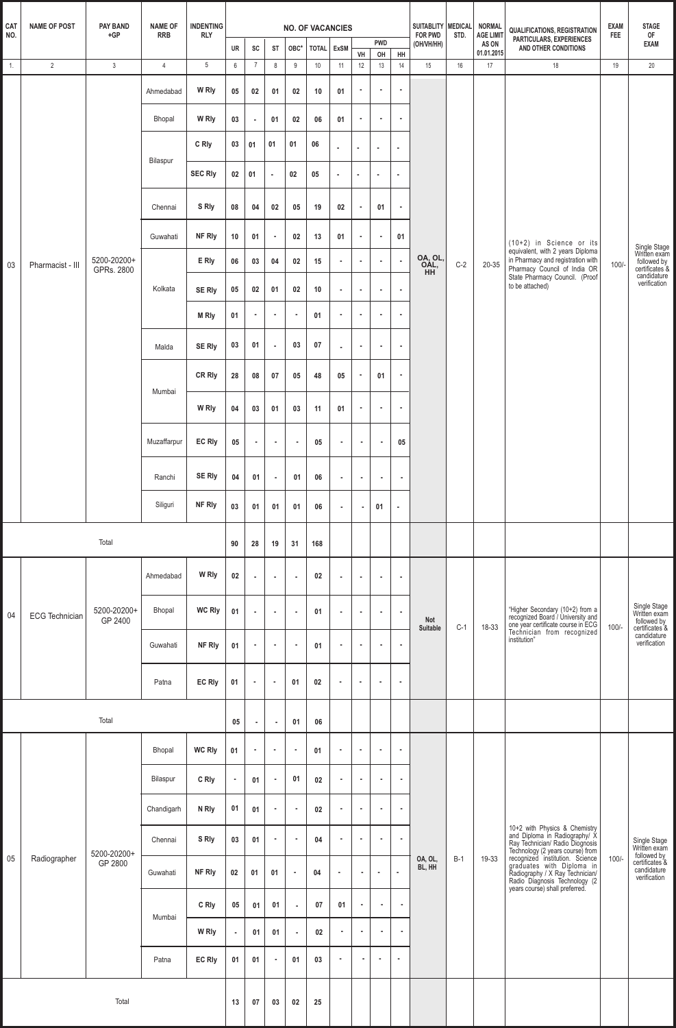| CAT              | <b>NAME OF POST</b>   | <b>NAME OF</b><br><b>PAY BAND</b><br><b>INDENTING</b><br><b>NO. OF VACANCIES</b> |                |                 |                 | SUITABLITY MEDICAL          |                | <b>NORMAL</b>  | <b>QUALIFICATIONS, REGISTRATION</b> | <b>EXAM</b>    | <b>STAGE</b>   |                             |                             |                       |       |                                         |                                                                                                                                                                                                                                                     |            |                                                                                              |
|------------------|-----------------------|----------------------------------------------------------------------------------|----------------|-----------------|-----------------|-----------------------------|----------------|----------------|-------------------------------------|----------------|----------------|-----------------------------|-----------------------------|-----------------------|-------|-----------------------------------------|-----------------------------------------------------------------------------------------------------------------------------------------------------------------------------------------------------------------------------------------------------|------------|----------------------------------------------------------------------------------------------|
| NO.              |                       | $+GP$                                                                            | <b>RRB</b>     | <b>RLY</b>      | UR              | SC                          | ST             | OBC*           | TOTAL ExSM                          |                | VH             | <b>PWD</b><br>OH            | ${\sf HH}$                  | FOR PWD<br>(OH/VH/HH) | STD.  | <b>AGE LIMIT</b><br>AS ON<br>01.01.2015 | PARTICULARS, EXPERIENCES<br>AND OTHER CONDITIONS                                                                                                                                                                                                    | <b>FEE</b> | OF<br><b>EXAM</b>                                                                            |
| $\overline{1}$ . | $\overline{2}$        | $\mathbf{3}$                                                                     | $\overline{4}$ | $5\phantom{.0}$ | $6\phantom{.0}$ | $\overline{7}$              | 8              | 9              | 10                                  | 11             | 12             | 13                          | 14                          | 15                    | 16    | 17                                      | 18                                                                                                                                                                                                                                                  | 19         | 20                                                                                           |
|                  |                       |                                                                                  | Ahmedabad      | W Rly           | 05              | 02                          | 01             | 02             | 10                                  | 01             | $\sim$         | $\mathcal{L}_{\mathcal{A}}$ | $\mathcal{L}_{\mathcal{A}}$ |                       |       |                                         |                                                                                                                                                                                                                                                     |            |                                                                                              |
|                  |                       | Bhopal                                                                           | W Rly          | 03              | $\sim$          | 01                          | 02             | 06             | 01                                  | $\sim$         | $\mathbf{r}$   | $\sim$                      |                             |                       |       |                                         |                                                                                                                                                                                                                                                     |            |                                                                                              |
|                  |                       |                                                                                  | Bilaspur       | C Rly           | 03              | 01                          | 01             | 01             | 06                                  | $\mathbf{r}$   | $\alpha$       | $\alpha$                    | $\epsilon$                  |                       |       |                                         |                                                                                                                                                                                                                                                     |            |                                                                                              |
|                  |                       |                                                                                  |                | <b>SEC RIy</b>  | 02              | 01                          | $\sim$         | 02             | 05                                  | $\sim$         | $\alpha$       | $\alpha$                    | $\mathcal{L}_{\mathcal{A}}$ |                       |       |                                         |                                                                                                                                                                                                                                                     |            |                                                                                              |
|                  |                       |                                                                                  | Chennai        | S Rly           | 08              | 04                          | 02             | 05             | 19                                  | 02             | $\sim$         | 01                          | $\blacksquare$              |                       |       |                                         |                                                                                                                                                                                                                                                     |            |                                                                                              |
|                  |                       |                                                                                  | Guwahati       | NF Rly          | 10              | 01                          | $\blacksquare$ | 02             | 13                                  | 01             | $\bullet$      | $\bullet$                   | 01                          |                       |       |                                         | (10+2) in Science or its<br>equivalent, with 2 years Diploma                                                                                                                                                                                        |            | Single Stage<br>Written exam                                                                 |
| 03               | Pharmacist - III      | 5200-20200+<br>GPRs. 2800                                                        |                | E Rly           | 06              | 03                          | 04             | 02             | 15                                  | $\sim$         | $\sim$         | $\sim$                      | $\mathcal{L}$               | OA, OL,<br>OAL,       | $C-2$ | $20 - 35$                               | in Pharmacy and registration with<br>Pharmacy Council of India OR<br>State Pharmacy Council. (Proof                                                                                                                                                 | $100/-$    | followed by<br>certificates &<br>candidature                                                 |
|                  |                       |                                                                                  | Kolkata        | SE Rly          | ${\bf 05}$      | 02                          | 01             | 02             | 10                                  | $\bullet$      | $\sim$         | $\mathcal{L}_{\mathcal{A}}$ | $\mathcal{L}_{\mathcal{A}}$ |                       |       |                                         | to be attached)                                                                                                                                                                                                                                     |            | verification                                                                                 |
|                  |                       |                                                                                  |                | <b>MRIy</b>     | 01              | $\mathcal{L}_{\mathcal{A}}$ | $\bullet$      | $\blacksquare$ | 01                                  | $\blacksquare$ | $\sim$         | $\mathcal{L}_{\mathcal{A}}$ | $\mathcal{L}_{\mathcal{A}}$ |                       |       |                                         |                                                                                                                                                                                                                                                     |            |                                                                                              |
|                  |                       |                                                                                  | Malda          | <b>SE Rly</b>   | 03              | 01                          | $\epsilon$     | 03             | 07                                  | $\alpha$       | $\epsilon$     | $\bullet$                   | $\epsilon$                  |                       |       |                                         |                                                                                                                                                                                                                                                     |            |                                                                                              |
|                  |                       |                                                                                  | Mumbai         | <b>CR Rly</b>   | 28              | 08                          | 07             | 05             | 48                                  | 05             | $\blacksquare$ | 01                          | $\epsilon$                  |                       |       |                                         |                                                                                                                                                                                                                                                     |            |                                                                                              |
|                  |                       |                                                                                  |                | W Rly           | 04              | 03                          | 01             | 03             | 11                                  | 01             | $\blacksquare$ | $\bullet$                   | $\bullet$                   |                       |       |                                         |                                                                                                                                                                                                                                                     |            |                                                                                              |
|                  |                       |                                                                                  | Muzaffarpur    | <b>EC Rly</b>   | 05              | $\blacksquare$              | $\sim$         | $\blacksquare$ | 05                                  | $\blacksquare$ | $\blacksquare$ | $\bullet$                   | 05                          |                       |       |                                         |                                                                                                                                                                                                                                                     |            |                                                                                              |
|                  |                       |                                                                                  | Ranchi         | SE Rly          | 04              | 01                          | $\sim$         | 01             | 06                                  | $\sim$         | $\sim$         | $\mathbf{r}$                | $\sim$                      |                       |       |                                         |                                                                                                                                                                                                                                                     |            |                                                                                              |
|                  |                       |                                                                                  | Siliguri       | NF Rly          | 03              | 01                          | 01             | 01             | 06                                  | $\bullet$      | $\bullet$      | 01                          | $\sim$                      |                       |       |                                         |                                                                                                                                                                                                                                                     |            |                                                                                              |
| Total            |                       |                                                                                  |                |                 |                 | 28                          | 19             | 31             | 168                                 |                |                |                             |                             |                       |       |                                         |                                                                                                                                                                                                                                                     |            |                                                                                              |
|                  |                       | 5200-20200+<br>GP 2400                                                           | Ahmedabad      | W Rly           | $02\,$          | $\sim$                      | $\bullet$      | $\blacksquare$ | 02                                  | ٠              | $\bullet$      | $\bullet$                   | $\alpha$                    |                       |       |                                         | "Higher Secondary (10+2) from a<br>recognized Board / University and<br>one year certificate course in ECG<br>Technician from recognized<br>institution"                                                                                            | $100/-$    |                                                                                              |
| 04               | <b>ECG Technician</b> |                                                                                  | <b>Bhopal</b>  | <b>WC Rly</b>   | 01              | $\bullet$                   | $\bullet$      | $\blacksquare$ | 01                                  | ٠              | $\blacksquare$ | $\bullet$                   | $\epsilon$                  | Not                   | $C-1$ |                                         |                                                                                                                                                                                                                                                     |            | Single Stage<br>Written exam<br>followed by<br>certificates &<br>candidature<br>verification |
|                  |                       |                                                                                  | Guwahati       | NF Rly          | 01              | $\bullet$                   | $\bullet$      | $\bullet$      | 01                                  | $\alpha$       | $\bullet$      | $\alpha$                    | $\sim$                      | Suitable              |       | 18-33                                   |                                                                                                                                                                                                                                                     |            |                                                                                              |
|                  |                       |                                                                                  | Patna          | <b>EC Rly</b>   | 01              | ×                           | ×              | 01             | 02                                  | $\blacksquare$ | $\sim$         | ٠                           | $\bullet$                   |                       |       |                                         |                                                                                                                                                                                                                                                     |            |                                                                                              |
|                  |                       | Total                                                                            |                |                 | 05              | $\sim$                      | $\blacksquare$ | 01             | 06                                  |                |                |                             |                             |                       |       |                                         |                                                                                                                                                                                                                                                     |            |                                                                                              |
|                  |                       |                                                                                  | Bhopal         | <b>WC Rly</b>   | 01              | $\bullet$                   | $\blacksquare$ | $\bullet$      | 01                                  | $\sim$         | $\blacksquare$ | $\alpha$                    | $\blacksquare$              |                       |       |                                         |                                                                                                                                                                                                                                                     |            |                                                                                              |
|                  |                       |                                                                                  | Bilaspur       | C Rly           | $\sim$          | 01                          | $\bullet$      | 01             | 02                                  | ٠              | $\bullet$      | $\sim$                      | $\sim$                      |                       |       |                                         |                                                                                                                                                                                                                                                     |            |                                                                                              |
|                  |                       |                                                                                  | Chandigarh     | N Rly           | 01              | 01                          | $\epsilon$     | ٠              | 02                                  | ٠              | ٠              | $\blacksquare$              | $\bullet$                   |                       |       |                                         |                                                                                                                                                                                                                                                     |            |                                                                                              |
|                  |                       |                                                                                  | Chennai        | S Rly           | 03              | 01                          | $\bullet$      | $\blacksquare$ | 04                                  | $\bullet$      | $\sim$         | $\sim$                      | $\bullet$                   |                       |       |                                         |                                                                                                                                                                                                                                                     |            | Single Stage<br>Written exam                                                                 |
|                  | 05 Radiographer       | 5200-20200+<br>GP 2800                                                           | Guwahati       | NF Rly          | 02              | 01                          | 01             | $\bullet$      | 04                                  | $\bullet$      | $\sim$         | $\bullet$                   | $\alpha$                    | OA, OL,<br>BL, HH     | $B-1$ | 19-33                                   | 10+2 with Physics & Chemistry<br>and Diploma in Radiography/ $X$<br>Ray Technician/ Radio Diognosis<br>Technology (2 years course) from<br>recognized institution. Science<br>graduates with Diploma in<br>Radiography / $X$ Ray Technician/<br>Rad | $100/-$    | followed by<br>certificates <sup>8</sup><br>candidature<br>verification                      |
|                  |                       |                                                                                  |                | C Rly           | 05              | 01                          | 01             | $\sim$         | 07                                  | 01             | $\sim$         | $\sim$                      | $\sim$                      |                       |       |                                         |                                                                                                                                                                                                                                                     |            |                                                                                              |
|                  |                       |                                                                                  | Mumbai         | W Rly           | $\bullet$       | 01                          | 01             | $\mathbf{r}$   | 02                                  | $\sim$         | $\sim$         | $\mathbf{r}$                | $\sim$                      |                       |       |                                         |                                                                                                                                                                                                                                                     |            |                                                                                              |
|                  |                       |                                                                                  | Patna          | EC Rly          | 01              | 01                          | $\blacksquare$ | 01             | 03                                  | $\bullet$      | $\blacksquare$ | $\sim$                      | $\bullet$                   |                       |       |                                         |                                                                                                                                                                                                                                                     |            |                                                                                              |
|                  |                       | 13                                                                               | 07             | 03              | 02              | 25                          |                |                |                                     |                |                |                             |                             |                       |       |                                         |                                                                                                                                                                                                                                                     |            |                                                                                              |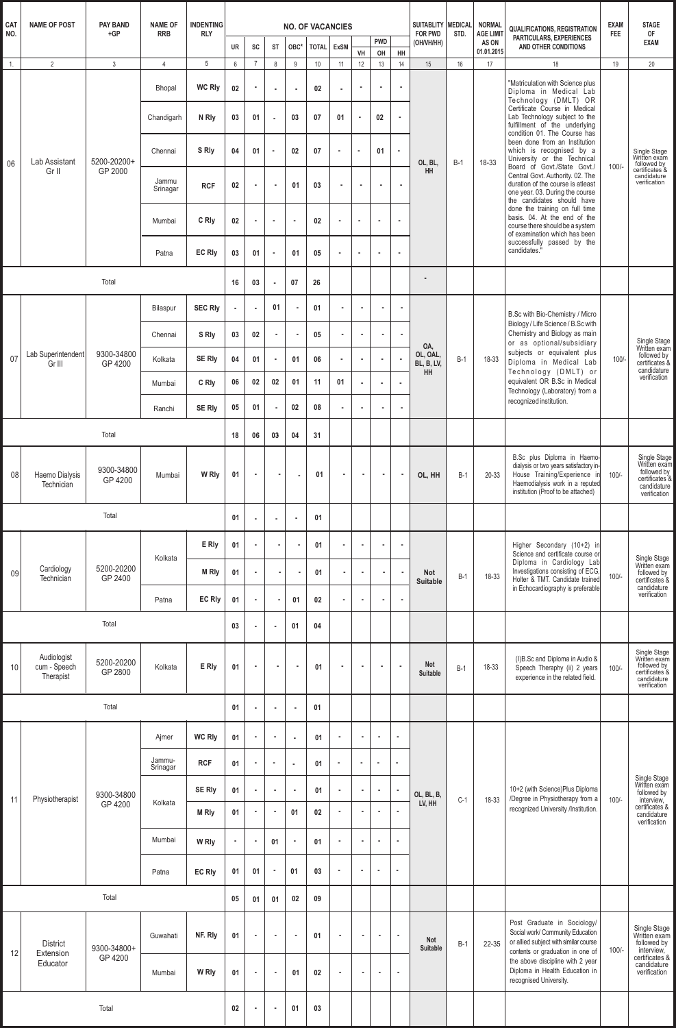| CAT<br><b>NAME OF POST</b><br><b>PAY BAND</b> |                                          |                       | <b>NAME OF</b>     | <b>INDENTING</b>  |           |                |                |                | <b>NO. OF VACANCIES</b> |                |                |                  |                             | <b>MEDICAL</b><br><b>SUITABLITY</b> |           | <b>NORMAL</b>                           | <b>QUALIFICATIONS, REGISTRATION</b>                                                                                                                                            | <b>EXAM</b> | <b>STAGE</b>                                                                                               |  |  |
|-----------------------------------------------|------------------------------------------|-----------------------|--------------------|-------------------|-----------|----------------|----------------|----------------|-------------------------|----------------|----------------|------------------|-----------------------------|-------------------------------------|-----------|-----------------------------------------|--------------------------------------------------------------------------------------------------------------------------------------------------------------------------------|-------------|------------------------------------------------------------------------------------------------------------|--|--|
| NO.                                           |                                          | $+GP$                 | <b>RRB</b>         | <b>RLY</b>        | <b>UR</b> | SC             | <b>ST</b>      | OBC*           | <b>TOTAL</b>            | <b>ExSM</b>    | VH             | <b>PWD</b><br>OH | HH                          | <b>FOR PWD</b><br>(OH/VH/HH)        | STD.      | <b>AGE LIMIT</b><br>AS ON<br>01.01.2015 | PARTICULARS, EXPERIENCES<br>AND OTHER CONDITIONS                                                                                                                               | <b>FEE</b>  | 0F<br><b>EXAM</b>                                                                                          |  |  |
| 1.                                            | $\overline{2}$                           | $\mathbf{3}$          | $\overline{4}$     | 5                 | $6\,$     | $\overline{7}$ | $\,8\,$        | 9              | 10                      | 11             | 12             | 13               | 14                          | 15                                  | 16        | 17                                      | 18                                                                                                                                                                             | 19          | 20                                                                                                         |  |  |
|                                               |                                          |                       | Bhopal             | <b>WC RIV</b>     | 02        |                | $\sim$         | $\blacksquare$ | 02                      |                | $\blacksquare$ |                  | $\bullet$                   |                                     |           |                                         | "Matriculation with Science plus<br>Diploma in Medical Lab<br>Technology (DMLT) OR                                                                                             |             |                                                                                                            |  |  |
|                                               |                                          |                       | Chandigarh         | N RI <sub>V</sub> | 03        | 01             | ×              | 03             | 07                      | 01             | ٠              | 02               | $\blacksquare$              |                                     |           |                                         | Certificate Course in Medical<br>Lab Technology subject to the<br>fulfillment of the underlying<br>condition 01. The Course has                                                |             |                                                                                                            |  |  |
| 06                                            | Lab Assistant                            | 5200-20200+           | Chennai            | S Rly             | 04        | 01             |                | 02             | 07                      | ٠              | $\alpha$       | 01               | $\bullet$                   | OL, BL,                             | $B-1$     | 18-33                                   | been done from an Institution<br>which is recognised by a<br>University or the Technical<br>Board of Govt./State Govt./                                                        | $100/-$     | Single Stage<br>Written exam<br>followed by<br>certificates &                                              |  |  |
|                                               | Gr II                                    | GP 2000               | Jammu<br>Srinagar  | <b>RCF</b>        | 02        |                | $\blacksquare$ | 01             | 03                      |                | $\blacksquare$ |                  | $\blacksquare$              | <b>HH</b>                           |           |                                         | Central Govt. Authority. 02. The<br>duration of the course is atleast<br>one year. 03. During the course<br>the candidates should have                                         |             | candidature<br>verification                                                                                |  |  |
|                                               |                                          |                       | Mumbai             | C Rly             | 02        | $\alpha$       | $\bullet$      | $\blacksquare$ | 02                      |                | $\bullet$      |                  | $\sim$                      |                                     |           |                                         | done the training on full time<br>basis. 04. At the end of the<br>course there should be a system<br>of examination which has been                                             |             |                                                                                                            |  |  |
|                                               |                                          |                       | Patna              | <b>EC Rly</b>     | 03        | 01             | $\bullet$      | 01             | 05                      |                | $\blacksquare$ |                  | $\alpha$                    |                                     |           |                                         | successfully passed by the<br>candidates."                                                                                                                                     |             |                                                                                                            |  |  |
|                                               |                                          | Total                 |                    |                   | 16        | 03             | ×              | 07             | 26                      |                |                |                  |                             |                                     |           |                                         |                                                                                                                                                                                |             |                                                                                                            |  |  |
|                                               |                                          |                       | Bilaspur           | <b>SEC Rly</b>    | $\sim$    | $\alpha$       | 01             | ٠              | 01                      | ×.             | $\mathbf{r}$   | $\alpha$         | $\sim$                      |                                     |           |                                         | B.Sc with Bio-Chemistry / Micro<br>Biology / Life Science / B.Sc with                                                                                                          |             |                                                                                                            |  |  |
|                                               |                                          |                       | Chennai            | S Rly             | 03        | 02             | $\bullet$      | ٠              | 05                      | $\sim$         | $\sim$         | $\blacksquare$   | $\mathcal{L}_{\mathcal{A}}$ | OA,                                 |           |                                         | Chemistry and Biology as main<br>or as optional/subsidiary                                                                                                                     |             | Single Stage<br>Written exam                                                                               |  |  |
| 07                                            | Lab Superintendent<br>Gr III             | 9300-34800<br>GP 4200 | Kolkata            | <b>SE Rly</b>     | 04        | 01             | $\bullet$      | 01             | 06                      |                | $\bullet$      |                  | $\alpha$                    | OL, OAL,<br>BL, B, LV,<br><b>HH</b> | $B-1$     | 18-33                                   | subjects or equivalent plus<br>Diploma in Medical Lab<br>Technology (DMLT) or                                                                                                  | 100/        | followed by<br>certificates &<br>candidature                                                               |  |  |
|                                               |                                          |                       | Mumbai             | C Rly             | 06        | 02             | 02             | 01             | 11                      | 01             | ٠              | $\alpha$         | $\alpha$                    |                                     |           |                                         | equivalent OR B.Sc in Medical<br>Technology (Laboratory) from a                                                                                                                |             | verification                                                                                               |  |  |
|                                               |                                          |                       | Ranchi             | <b>SE Rly</b>     | 05        | 01             |                | 02             | 08                      |                | $\blacksquare$ |                  | $\mathcal{L}_{\mathcal{A}}$ |                                     |           |                                         | recognized institution.                                                                                                                                                        |             |                                                                                                            |  |  |
|                                               |                                          | 18                    | 06                 | 03                | 04        | 31             |                |                |                         |                |                |                  |                             |                                     |           |                                         |                                                                                                                                                                                |             |                                                                                                            |  |  |
| 08                                            | Haemo Dialysis<br>Technician             | 9300-34800<br>GP 4200 | Mumbai             | W Rly             | 01        | ٠              |                | ٠              | 01                      | $\blacksquare$ | $\blacksquare$ | $\blacksquare$   | $\bullet$                   | OL, HH                              | $B-1$     | 20-33                                   | B.Sc plus Diploma in Haemo-<br>dialysis or two years satisfactory in-<br>House Training/Experience in<br>Haemodialysis work in a reputed<br>institution (Proof to be attached) | $100/-$     | Single Stage<br>Written exam<br>followed by<br>certificates &<br>candidature<br>verification               |  |  |
| Total                                         |                                          |                       |                    |                   |           | $\alpha$       | $\sim$         | $\blacksquare$ | 01                      |                |                |                  |                             |                                     |           |                                         |                                                                                                                                                                                |             |                                                                                                            |  |  |
|                                               | Cardiology<br>09<br>Technician           |                       |                    |                   | Kolkata   | E Rly          | 01             | ×              |                         | ٠              | 01             | ٠                | ٠                           | ×.                                  | $\bullet$ |                                         |                                                                                                                                                                                |             | Higher Secondary (10+2) in<br>Science and certificate course or                                            |  |  |
|                                               |                                          | 5200-20200<br>GP 2400 |                    | M Rly             | 01        | $\alpha$       |                | ٠              | 01                      | ٠              | $\bullet$      | $\mathbf{r}$     | $\bullet$                   | <b>Not</b><br><b>Suitable</b>       | $B-1$     | 18-33                                   | Diploma in Cardiology Lab<br>Investigations consisting of ECG,<br>Holter & TMT. Candidate trained                                                                              | $100/-$     | Single Stage<br>Written exam<br>followed by<br>certificates &                                              |  |  |
|                                               |                                          |                       | Patna              | <b>EC Rly</b>     | 01        | $\alpha$       |                | 01             | 02                      | $\blacksquare$ | ×              | $\bullet$        | $\alpha$                    |                                     |           |                                         | in Echocardiography is preferable                                                                                                                                              |             | candidature<br>verification                                                                                |  |  |
| Total                                         |                                          |                       |                    |                   |           |                | $\bullet$      | 01             | 04                      |                |                |                  |                             |                                     |           |                                         |                                                                                                                                                                                |             |                                                                                                            |  |  |
| 10                                            | Audiologist<br>cum - Speech<br>Therapist | 5200-20200<br>GP 2800 | Kolkata            | E Rly             | 01        | $\blacksquare$ | $\blacksquare$ | $\sim$         | 01                      | ٠              | ٠              | ×                | $\sim$                      | <b>Not</b><br>Suitable              | $B-1$     | 18-33                                   | (I)B.Sc and Diploma in Audio &<br>Speech Theraphy (ii) 2 years<br>experience in the related field.                                                                             | $100/-$     | Single Stage<br>Written exam<br>followed by<br>certificates &<br>candidature<br>verification               |  |  |
|                                               |                                          | Total                 |                    |                   | 01        | $\alpha$       | $\bullet$      | $\blacksquare$ | 01                      |                |                |                  |                             |                                     |           |                                         |                                                                                                                                                                                |             |                                                                                                            |  |  |
|                                               |                                          |                       | Ajmer              | <b>WC Rly</b>     | 01        | $\mathbf{r}$   | $\bullet$      | ×,             | 01                      | ٠              | $\blacksquare$ | $\overline{a}$   | $\alpha$                    |                                     |           |                                         |                                                                                                                                                                                |             |                                                                                                            |  |  |
|                                               |                                          |                       | Jammu-<br>Srinagar | <b>RCF</b>        | 01        |                | $\blacksquare$ | $\alpha$       | 01                      |                | $\sim$         | ×                |                             |                                     |           |                                         |                                                                                                                                                                                |             |                                                                                                            |  |  |
| 11                                            | Physiotherapist                          | 9300-34800            |                    | <b>SE RIV</b>     | 01        | $\bullet$      | $\sim$         | $\sim$         | 01                      | ٠              | $\bullet$      | $\blacksquare$   | $\blacksquare$              | OL, BL, B,                          | $C-1$     | 18-33                                   | 10+2 (with Science)Plus Diploma<br>/Degree in Physiotherapy from a                                                                                                             | $100/-$     | Single Stage<br>Written exam<br>followed by                                                                |  |  |
|                                               |                                          | GP 4200               | Kolkata            | <b>M Rly</b>      | 01        | $\blacksquare$ | $\blacksquare$ | 01             | 02                      | ٠              | ٠              |                  | $\alpha$                    | LV, HH                              |           |                                         | recognized University /Institution.                                                                                                                                            |             | interview,<br>certificates &<br>candidature<br>verification                                                |  |  |
|                                               |                                          |                       | Mumbai             | W Rly             | $\bullet$ | $\bullet$      | 01             | $\blacksquare$ | 01                      | ٠              | $\blacksquare$ | $\blacksquare$   | $\tilde{\phantom{a}}$       |                                     |           |                                         |                                                                                                                                                                                |             |                                                                                                            |  |  |
|                                               |                                          |                       | Patna              | <b>EC Rly</b>     | 01        | 01             | $\blacksquare$ | 01             | 03                      | $\blacksquare$ | $\alpha$       | ٠                |                             |                                     |           |                                         |                                                                                                                                                                                |             |                                                                                                            |  |  |
|                                               |                                          | Total                 |                    |                   | 05        | 01             | 01             | 02             | 09                      |                |                |                  |                             |                                     |           |                                         |                                                                                                                                                                                |             |                                                                                                            |  |  |
|                                               | <b>District</b>                          | 9300-34800+           | Guwahati           | NF. Rly           | 01        | $\blacksquare$ | $\blacksquare$ | $\blacksquare$ | 01                      | ٠              | $\bullet$      | $\blacksquare$   | $\epsilon$                  | Not<br>$B-1$<br>Suitable            |           | 22-35                                   | Post Graduate in Sociology/<br>Social work/ Community Education<br>or allied subject with similar course<br>contents or graduation in one of                                   | $100/-$     | Single Stage<br>Written exam<br>followed by<br>interview,<br>certificates &<br>candidature<br>verification |  |  |
|                                               | 12<br>Extension<br>Educator              | GP 4200               | Mumbai             | W Rly             | 01        | $\bullet$      | $\blacksquare$ | 01             | 02                      | ٠              | $\bullet$      | $\blacksquare$   | $\bullet$                   |                                     |           |                                         | the above discipline with 2 year<br>Diploma in Health Education in<br>recognised University.                                                                                   |             |                                                                                                            |  |  |
|                                               |                                          | 02                    |                    | $\bullet$         | 01        | 03             |                |                |                         |                |                |                  |                             |                                     |           |                                         |                                                                                                                                                                                |             |                                                                                                            |  |  |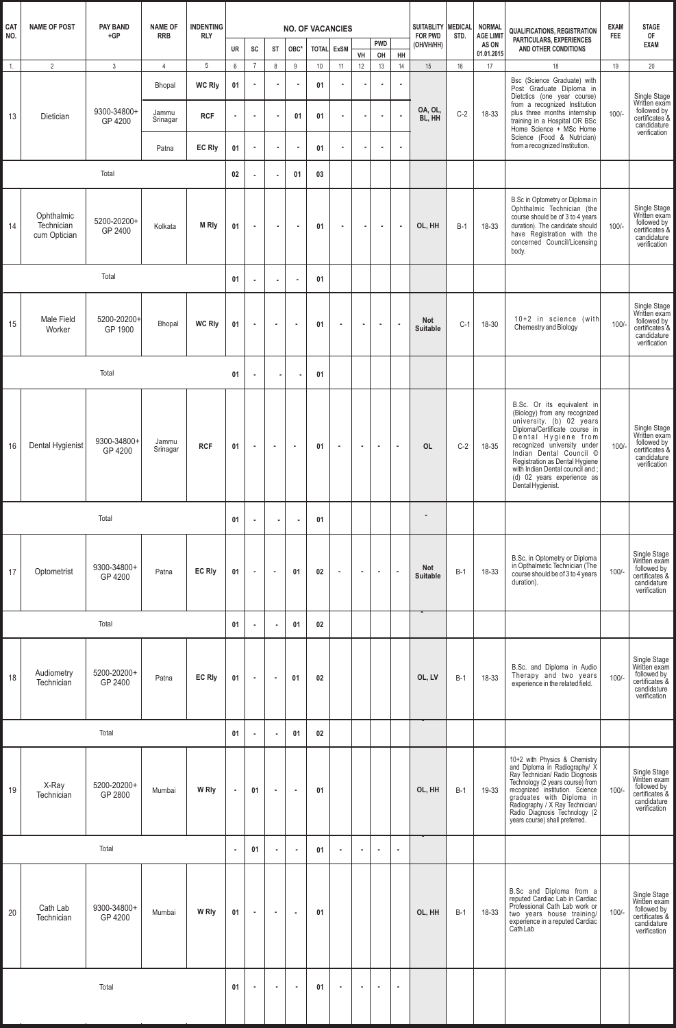| <b>CAT</b> | <b>NAME OF POST</b>                      | <b>PAY BAND</b>        | <b>NAME OF</b>    | <b>INDENTING</b><br><b>NO. OF VACANCIES</b> |           |                 |                          |                | SUITABLITY MEDICAL |                | <b>NORMAL</b>  | QUALIFICATIONS, REGISTRATION | <b>EXAM</b>  | <b>STAGE</b>           |       |                                         |                                                                                                                                                                                                                                                                                                                                   |            |                                                                                              |
|------------|------------------------------------------|------------------------|-------------------|---------------------------------------------|-----------|-----------------|--------------------------|----------------|--------------------|----------------|----------------|------------------------------|--------------|------------------------|-------|-----------------------------------------|-----------------------------------------------------------------------------------------------------------------------------------------------------------------------------------------------------------------------------------------------------------------------------------------------------------------------------------|------------|----------------------------------------------------------------------------------------------|
| NO.        |                                          | $+GP$                  | <b>RRB</b>        | <b>RLY</b>                                  | <b>UR</b> | SC              | <b>ST</b>                | OBC*           | <b>TOTAL ExSM</b>  |                |                | <b>PWD</b>                   |              | FOR PWD<br>(OH/VH/HH)  | STD.  | <b>AGE LIMIT</b><br>AS ON<br>01.01.2015 | PARTICULARS, EXPERIENCES<br>AND OTHER CONDITIONS                                                                                                                                                                                                                                                                                  | <b>FEE</b> | 0F<br><b>EXAM</b>                                                                            |
| 1.         | $\overline{2}$                           | $\mathbf{3}$           | $\overline{4}$    | 5                                           | 6         | $7\phantom{.0}$ | 8                        | $9\,$          | 10                 | 11             | VH<br>12       | OH<br>13                     | HH<br>14     | 15                     | 16    | 17                                      | 18                                                                                                                                                                                                                                                                                                                                | 19         | 20                                                                                           |
|            |                                          |                        | Bhopal            | <b>WC RIV</b>                               | 01        |                 |                          |                | 01                 |                |                | $\alpha$                     | $\mathbf{r}$ |                        |       |                                         | Bsc (Science Graduate) with<br>Post Graduate Diploma in                                                                                                                                                                                                                                                                           |            | Single Stage                                                                                 |
| 13         | Dietician                                | 9300-34800+<br>GP 4200 | Jammu<br>Srinagar | <b>RCF</b>                                  | $\alpha$  | Î.              |                          | 01             | 01                 |                |                | $\blacksquare$               | $\bullet$    | OA, OL,<br>BL, HH      | $C-2$ | 18-33                                   | Dietctics (one year course)<br>from a recognized Institution<br>plus three months internship<br>training in a Hospital OR BSc<br>Home Science + MSc Home                                                                                                                                                                          | $100/-$    | Written exam<br>followed by<br>certificates &<br>candidature                                 |
|            |                                          |                        | Patna             | <b>EC Rly</b>                               | 01        | $\blacksquare$  |                          | $\alpha$       | 01                 | $\sim$         |                | $\mathbf{r}$                 | $\mathbf{r}$ |                        |       |                                         | Science (Food & Nutrician)<br>from a recognized Institution.                                                                                                                                                                                                                                                                      |            | verification                                                                                 |
| Total      |                                          |                        |                   |                                             |           |                 | $\alpha$                 | 01             | 03                 |                |                |                              |              |                        |       |                                         |                                                                                                                                                                                                                                                                                                                                   |            |                                                                                              |
| 14         | Ophthalmic<br>Technician<br>cum Optician | 5200-20200+<br>GP 2400 | Kolkata           | <b>M RIv</b>                                | 01        | $\bullet$       | $\bullet$                | $\sim$         | 01                 | $\sim$         | $\sim$         | $\sim$                       | $\bullet$    | OL, HH                 | $B-1$ | 18-33                                   | B.Sc in Optometry or Diploma in<br>Ophthalmic Technician (the<br>course should be of 3 to 4 years<br>duration). The candidate should<br>have Registration with the<br>concerned Council/Licensing<br>body.                                                                                                                        | $100/-$    | Single Stage<br>Written exam<br>followed by<br>certificates &<br>candidature<br>verification |
|            |                                          | Total                  |                   |                                             | 01        |                 | $\bullet$                | $\sim$         | 01                 |                |                |                              |              |                        |       |                                         |                                                                                                                                                                                                                                                                                                                                   |            |                                                                                              |
| 15         | Male Field<br>Worker                     | 5200-20200+<br>GP 1900 | <b>Bhopal</b>     | <b>WC Rly</b>                               | 01        | $\bullet$       | $\bullet$                | $\blacksquare$ | 01                 | $\sim$         | $\sim$         | $\sim$                       | $\alpha$     | Not<br><b>Suitable</b> | $C-1$ | 18-30                                   | 10+2 in science (with<br>Chemestry and Biology                                                                                                                                                                                                                                                                                    | $100/-$    | Single Stage<br>Written exam<br>followed by<br>certificates &<br>candidature<br>verification |
| Total      |                                          |                        |                   |                                             |           | $\alpha$        |                          |                | 01                 |                |                |                              |              |                        |       |                                         |                                                                                                                                                                                                                                                                                                                                   |            |                                                                                              |
| 16         | Dental Hygienist                         | 9300-34800+<br>GP 4200 | Jammu<br>Srinagar | <b>RCF</b>                                  | 01        | $\bullet$       | $\sim$                   | $\bullet$      | 01                 | $\bullet$      | $\bullet$      | $\sim$                       | $\sim$       | <b>OL</b>              | $C-2$ | 18-35                                   | B.Sc. Or its equivalent in<br>(Biology) from any recognized<br>university. (b) 02 years<br>Diploma/Certificate course in<br>Dental Hygiene from<br>recognized university under<br>Indian Dental Council ©<br>Registration as Dental Hygiene<br>with Indian Dental council and;<br>(d) 02 years experience as<br>Dental Hygienist. | $100/-$    | Single Stage<br>Written exam<br>followed by<br>certificates &<br>candidature<br>verification |
| Total      |                                          |                        |                   |                                             |           |                 | ٠                        | $\blacksquare$ | 01                 |                |                |                              |              |                        |       |                                         |                                                                                                                                                                                                                                                                                                                                   |            |                                                                                              |
| 17         | Optometrist                              | 9300-34800+<br>GP 4200 | Patna             | <b>EC Rly</b>                               | 01        | $\blacksquare$  | $\blacksquare$           | 01             | 02                 | $\blacksquare$ | $\blacksquare$ | $\blacksquare$               | $\epsilon$   | Not<br><b>Suitable</b> | $B-1$ | 18-33                                   | B.Sc. in Optometry or Diploma<br>in Opthalmetic Technician (The<br>course should be of 3 to 4 years<br>duration).                                                                                                                                                                                                                 | 100/       | Single Stage<br>Written exam<br>followed by<br>certificates &<br>candidature<br>verification |
|            |                                          | Total                  |                   |                                             | 01        |                 | ×                        | 01             | 02                 |                |                |                              |              |                        |       |                                         |                                                                                                                                                                                                                                                                                                                                   |            |                                                                                              |
| 18         | Audiometry<br>Technician                 | 5200-20200+<br>GP 2400 | Patna             | <b>EC Rly</b>                               | 01        | $\bullet$       | $\bullet$                | 01             | 02                 |                |                |                              |              | OL, LV                 | $B-1$ | 18-33                                   | B.Sc. and Diploma in Audio<br>Therapy and two years<br>experience in the related field.                                                                                                                                                                                                                                           | $100/-$    | Single Stage<br>Written exam<br>followed by<br>certificates &<br>candidature<br>verification |
|            |                                          | Total                  |                   |                                             | 01        |                 | $\overline{\phantom{a}}$ | 01             | 02                 |                |                |                              |              |                        |       |                                         |                                                                                                                                                                                                                                                                                                                                   |            |                                                                                              |
| 19         | X-Ray<br>Technician                      | 5200-20200+<br>GP 2800 | Mumbai            | W Rly                                       |           | 01              | $\bullet$                | $\bullet$      | 01                 |                |                |                              |              | OL, HH                 | $B-1$ | 19-33                                   | 10+2 with Physics & Chemistry<br>and Diploma in Radiography/ X<br>Ray Technician/ Radio Diognosis<br>Technology (2 years course) from<br>recognized institution. Science<br>graduates with Diploma in<br>Radiography / X Ray Technician/<br>Radio<br>Radio Diagnosis Technology (2<br>years course) shall preferred.              | 100/       | Single Stage<br>Written exam<br>followed by<br>certificates &<br>candidature<br>verification |
| Total      |                                          |                        |                   |                                             |           | 01              |                          |                | 01                 |                | $\blacksquare$ | $\blacksquare$               | $\alpha$     |                        |       |                                         |                                                                                                                                                                                                                                                                                                                                   |            |                                                                                              |
| 20         | Cath Lab<br>Technician                   | 9300-34800+<br>GP 4200 | Mumbai            | W Rly                                       | 01        | $\sim$          | $\bullet$                | $\blacksquare$ | 01                 |                |                |                              |              | OL, HH                 | $B-1$ | 18-33                                   | B.Sc and Diploma from a<br>reputed Cardiac Lab in Cardiac<br>Professional Cath Lab work or<br>two years house training/<br>experience in a reputed Cardiac<br>Cath Lab                                                                                                                                                            | $100/-$    | Single Stage<br>Written exam<br>followed by<br>certificates &<br>candidature<br>verification |
|            |                                          |                        | 01                |                                             | ×         | $\bullet$       | 01                       |                |                    |                | $\sim$         |                              |              |                        |       |                                         |                                                                                                                                                                                                                                                                                                                                   |            |                                                                                              |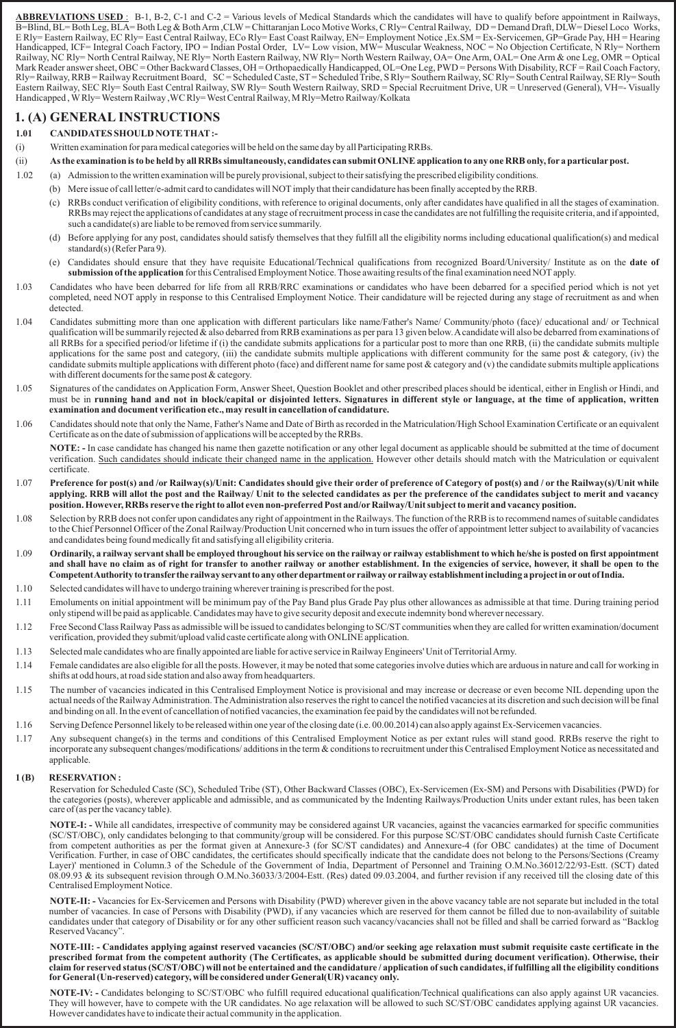**ABBREVIATIONS USED** : B-1, B-2, C-1 and C-2 = Various levels of Medical Standards which the candidates will have to qualify before appointment in Railways, B=Blind, BL= Both Leg, BLA= Both Leg & Both Arm ,CLW= Chittaranjan Loco Motive Works, C Rly= Central Railway, DD = Demand Draft, DLW= Diesel Loco Works, E Rly= Eastern Railway, EC Rly= East Central Railway, ECo Rly= East Coast Railway, EN= Employment Notice ,Ex.SM = Ex-Servicemen, GP=Grade Pay, HH = Hearing Handicapped, ICF= Integral Coach Factory, IPO = Indian Postal Order, LV= Low vision, MW= Muscular Weakness, NOC = No Objection Certificate, N Rly= Northern Railway, NC Rly= North Central Railway, NE Rly= North Eastern Railway, NW Rly= North Western Railway, OA= One Arm, OAL= One Arm & one Leg, OMR = Optical Mark Reader answer sheet, OBC = Other Backward Classes, OH = Orthopaedically Handicapped, OL=One Leg, PWD = Persons With Disability, RCF = Rail Coach Factory, Rly= Railway, RRB = Railway Recruitment Board, SC = Scheduled Caste, ST= Scheduled Tribe, S Rly= Southern Railway, SC Rly= South Central Railway, SE Rly= South Eastern Railway, SEC Rly= South East Central Railway, SW Rly= South Western Railway, SRD = Special Recruitment Drive, UR = Unreserved (General), VH=- Visually Handicapped , WRly= Western Railway ,WC Rly= West Central Railway, M Rly=Metro Railway/Kolkata

# **1.(A) GENERAL INSTRUCTIONS**

# **1.01 CANDIDATES SHOULD NOTE THAT:-**

- (i) Written examination for para medical categories will be held on the same day by all Participating RRBs.
- (ii) **As the examination is to be held by all RRBs simultaneously, candidates can submit ONLINE application to any one RRB only, for a particularpost.**
- 1.02 (a) Admission to the written examination will be purely provisional, subject to their satisfying the prescribed eligibility conditions.
	- (b) Mere issue of call letter/e-admit card to candidates will NOTimply that their candidature has been finally accepted by the RRB.
		- (c) RRBs conduct verification of eligibility conditions, with reference to original documents, only after candidates have qualified in all the stages of examination. RRBs may reject the applications of candidates at any stage of recruitment process in case the candidates are not fulfilling the requisite criteria, and if appointed, such a candidate(s) are liable to be removed from service summarily.
		- (d) Before applying for any post, candidates should satisfy themselves that they fulfill all the eligibility norms including educational qualification(s) and medical standard(s) (Refer Para 9).
		- (e) Candidates should ensure that they have requisite Educational/Technical qualifications from recognized Board/University/ Institute as on the **date of submission of the application**for this Centralised Employment Notice. Those awaiting results of the final examination need NOTapply.
- 1.03 Candidates who have been debarred for life from all RRB/RRC examinations or candidates who have been debarred for a specified period which is not yet completed, need NOT apply in response to this Centralised Employment Notice. Their candidature will be rejected during any stage of recruitment as and when detected.
- 1.04 Candidates submitting more than one application with different particulars like name/Father's Name/ Community/photo (face)/ educational and/ or Technical qualification will be summarily rejected & also debarred from RRB examinations as per para 13 given below. Acandidate will also be debarred from examinations of all RRBs for a specified period/or lifetime if (i) the candidate submits applications for a particular post to more than one RRB, (ii) the candidate submits multiple applications for the same post and category, (iii) the candidate submits multiple applications with different community for the same post  $\&$  category, (iv) the candidate submits multiple applications with different photo (face) and different name for same post  $\&$  category and (v) the candidate submits multiple applications with different documents for the same post & category.
- 1.05 Signatures of the candidates on Application Form, Answer Sheet, Question Booklet and other prescribed places should be identical, either in English or Hindi, and must be in **running hand and not in block/capital or disjointed letters. Signatures in different style or language, at the time of application, written examination and document verification etc., may result in cancellation of candidature.**
- 1.06 Candidates should note that only the Name, Father's Name and Date of Birth as recorded in the Matriculation/High School Examination Certificate or an equivalent Certificate as on the date of submission of applications will be accepted by the RRBs.

**NOTE: -** In case candidate has changed his name then gazette notification or any other legal document as applicable should be submitted at the time of document verification. Such candidates should indicate their changed name in the application. However other details should match with the Matriculation or equivalent certificate.

- 1.07 **Preference forpost(s) and /or Railway(s)/Unit: Candidates should give their order of preference of Category of post(s) and / or the Railway(s)/Unit while applying. RRB will allot the post and the Railway/ Unit to the selected candidates as per the preference of the candidates subject to merit and vacancy position. However, RRBs reserve the right to allot even non-preferred Post and/orRailway/Unit subject to merit and vacancy position.**
- 1.08 Selection by RRB does not confer upon candidates any right of appointment in the Railways. The function of the RRB is to recommend names of suitable candidates to the Chief Personnel Officer of the Zonal Railway/Production Unit concerned who in turn issues the offer of appointment letter subject to availability of vacancies and candidates being found medically fit and satisfying all eligibility criteria.
- 1.09 Ordinarily, a railway servant shall be employed throughout his service on the railway or railway establishment to which he/she is posted on first appointment and shall have no claim as of right for transfer to another railway or another establishment. In the exigencies of service, however, it shall be open to the **CompetentAuthoritytotransferthe railwayservanttoanyotherdepartment orrailway orrailway establishmentincludingaprojectinoroutofIndia.**
- 1.10 Selected candidates will have to undergo training wherever training is prescribed for the post.
- 1.11 Emoluments on initial appointment will be minimum pay of the Pay Band plus Grade Pay plus other allowances as admissible at that time. During training period only stipend will be paid as applicable. Candidates may have to give security deposit and execute indemnity bond wherever necessary.
- 1.12 Free Second Class Railway Pass as admissible will be issued to candidates belonging to SC/STcommunities when they are called for written examination/document verification, provided they submit/upload valid caste certificate along with ONLINE application.
- 1.13 Selected male candidates who are finally appointed are liable for active service in Railway Engineers' Unit of Territorial Army.
- 1.14 Female candidates are also eligible for all the posts. However, it may be noted that some categories involve duties which are arduous in nature and call for working in shifts at odd hours, at road side station and also away from headquarters.
- 1.15 The number of vacancies indicated in this Centralised Employment Notice is provisional and may increase or decrease or even become NIL depending upon the actual needs of the Railway Administration. The Administration also reserves the right to cancel the notified vacancies at its discretion and such decision will be final and binding on all. In the event of cancellation of notified vacancies, the examination fee paid by the candidates will not be refunded.
- 1.16 Serving Defence Personnel likely to be released within one year of the closing date (i.e. 00.00.2014) can also apply against Ex-Servicemen vacancies.
- 1.17 Any subsequent change(s) in the terms and conditions of this Centralised Employment Notice as per extant rules will stand good. RRBs reserve the right to incorporate any subsequent changes/modifications/ additions in the term & conditions to recruitment under this Centralised Employment Notice as necessitated and applicable.

# **1 (B) RESERVATION :**

Reservation for Scheduled Caste (SC), Scheduled Tribe (ST), Other Backward Classes (OBC), Ex-Servicemen (Ex-SM) and Persons with Disabilities (PWD) for the categories (posts), wherever applicable and admissible, and as communicated by the Indenting Railways/Production Units under extant rules, has been taken care of (as per the vacancy table).

**NOTE-I: -** While all candidates, irrespective of community may be considered against UR vacancies, against the vacancies earmarked for specific communities (SC/ST/OBC), only candidates belonging to that community/group will be considered. For this purpose SC/ST/OBC candidates should furnish Caste Certificate from competent authorities as per the format given at Annexure-3 (for SC/ST candidates) and Annexure-4 (for OBC candidates) at the time of Document Verification. Further, in case of OBC candidates, the certificates should specifically indicate that the candidate does not belong to the Persons/Sections (Creamy Layer)' mentioned in Column.3 of the Schedule of the Government of India, Department of Personnel and Training O.M.No.36012/22/93-Estt. (SCT) dated 08.09.93 & its subsequent revision through O.M.No.36033/3/2004-Estt. (Res) dated 09.03.2004, and further revision if any received till the closing date of this Centralised Employment Notice.

**NOTE-II: -** Vacancies for Ex-Servicemen and Persons with Disability (PWD) wherever given in the above vacancy table are not separate but included in the total number of vacancies. In case of Persons with Disability (PWD), if any vacancies which are reserved for them cannot be filled due to non-availability of suitable candidates under that category of Disability or for any other sufficient reason such vacancy/vacancies shall not be filled and shall be carried forward as "Backlog Reserved Vacancy".

**NOTE-III: - Candidates applying against reserved vacancies (SC/ST/OBC) and/or seeking age relaxation must submit requisite caste certificate in the prescribed format from the competent authority (The Certificates, as applicable should be submitted during document verification). Otherwise, their claim for reserved status (SC/ST/OBC) will not be entertained and the candidature / application of such candidates, if fulfilling all the eligibility conditions forGeneral (Un-reserved) category, will be considered underGeneral(UR) vacancy only.**

**NOTE-IV: -** Candidates belonging to SC/ST/OBC who fulfill required educational qualification/Technical qualifications can also apply against UR vacancies. They will however, have to compete with the UR candidates. No age relaxation will be allowed to such SC/ST/OBC candidates applying against UR vacancies. However candidates have to indicate their actual community in the application.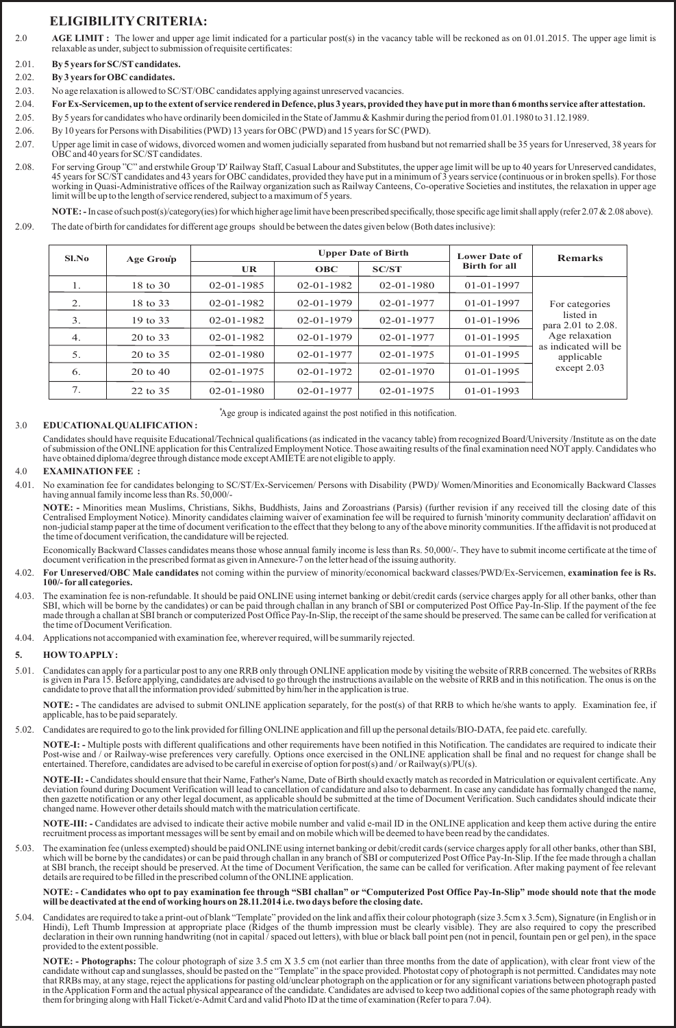# **ELIGIBILITYCRITERIA:**

- 2.0 AGE LIMIT: The lower and upper age limit indicated for a particular post(s) in the vacancy table will be reckoned as on 01.01.2015. The upper age limit is relaxable as under, subject to submission of requisite certificates:
- 2.01. **By 5 years forSC/STcandidates.**
- 2.02. **By 3 years forOBC candidates.**
- 2.03. No age relaxation is allowed to SC/ST/OBC candidates applying against unreserved vacancies.
- 2.04. **ForEx-Servicemen, up to the extent of service rendered in Defence, plus 3 years, provided they have put in more than 6 months service after attestation.**
- 2.05. By 5 years for candidates who have ordinarily been domiciled in the State of Jammu & Kashmir during the period from 01.01.1980 to 31.12.1989.
- 2.06. By 10 years for Persons with Disabilities (PWD) 13 years for OBC (PWD) and 15 years for SC (PWD).
- 2.07. Upper age limit in case of widows, divorced women and women judicially separated from husband but not remarried shall be 35 years for Unreserved, 38 years for OBC and 40 years for SC/ST candidates.
- 2.08. For serving Group "C" and erstwhile Group 'D' Railway Staff, Casual Labour and Substitutes, the upper age limit will be up to 40 years for Unreserved candidates, 45 years for SC/ST candidates and 43 years for OBC candidates, provided they have put in a minimum of 3 years service (continuous or in broken spells). For those working in Quasi-Administrative offices of the Railway organization such as Railway Canteens, Co-operative Societies and institutes, the relaxation in upper age limit will be up to the length of service rendered, subject to a maximum of 5 years.

**NOTE:** - In case of such post(s)/category(ies) for which higher age limit have been prescribed specifically, those specific age limit shall apply (refer 2.07 & 2.08 above). 2.09. The date of birth for candidates for different age groups should be between the dates given below (Both dates inclusive):

| Sl.No | Age Group           |                  | <b>Upper Date of Birth</b> | <b>Lower Date of</b> | <b>Remarks</b>       |                                    |  |  |
|-------|---------------------|------------------|----------------------------|----------------------|----------------------|------------------------------------|--|--|
|       |                     | UR.              | <b>OBC</b>                 | <b>SC/ST</b>         | <b>Birth for all</b> |                                    |  |  |
| 1.    | 18 to 30            | $02 - 01 - 1985$ | $02 - 01 - 1982$           | $02 - 01 - 1980$     | $01 - 01 - 1997$     |                                    |  |  |
| 2.    | 18 to 33            | $02 - 01 - 1982$ | $02 - 01 - 1979$           | $02 - 01 - 1977$     | $01 - 01 - 1997$     | For categories                     |  |  |
| 3.    | 19 to 33            | $02 - 01 - 1982$ | $02 - 01 - 1979$           | $02 - 01 - 1977$     | $01 - 01 - 1996$     | listed in<br>para 2.01 to 2.08.    |  |  |
| 4.    | 20 to 33            | $02 - 01 - 1982$ | $02 - 01 - 1979$           | $02 - 01 - 1977$     | $01 - 01 - 1995$     | Age relaxation                     |  |  |
| 5.    | 20 to 35            | $02 - 01 - 1980$ | $02 - 01 - 1977$           | $02 - 01 - 1975$     | $01 - 01 - 1995$     | as indicated will be<br>applicable |  |  |
| 6.    | $20 \text{ to } 40$ | $02 - 01 - 1975$ | $02 - 01 - 1972$           | $02 - 01 - 1970$     | $01 - 01 - 1995$     | except 2.03                        |  |  |
| 7.    | 22 to 35            | $02 - 01 - 1980$ | $02 - 01 - 1977$           | $02 - 01 - 1975$     | $01 - 01 - 1993$     |                                    |  |  |

# 3.0 **EDUCATIONALQUALIFICATION :**

Candidates should have requisite Educational/Technical qualifications (as indicated in the vacancy table) from recognized Board/University /Institute as on the date of submission of the ONLINE application for this Centralized Employment Notice. Those awaiting results of the final examination need NOTapply. Candidates who have obtained diploma/degree through distance mode except AMIETE are not eligible to apply.

### 4.0 **EXAMINATION FEE :**

4.01. No examination fee for candidates belonging to SC/ST/Ex-Servicemen/ Persons with Disability (PWD)/ Women/Minorities and Economically Backward Classes having annual family income less than Rs. 50,000/-

\*Age group is indicated against the post notified in this notification.

**NOTE: -** Minorities mean Muslims, Christians, Sikhs, Buddhists, Jains and Zoroastrians (Parsis) (further revision if any received till the closing date of this Centralised Employment Notice). Minority candidates claiming waiver of examination fee will be required to furnish 'minority community declaration' affidavit on non-judicial stamp paper at the time of document verification to the effect that they belong to any of the above minority communities. If the affidavit is not produced at the time of document verification, the candidature will be rejected.

Economically Backward Classes candidates means those whose annual family income is less than Rs. 50,000/-. They have to submit income certificate at the time of document verification in the prescribed format as given in Annexure-7 on the letter head of the issuing authority.

- 4.02. **For Unreserved/OBC Male candidates** not coming within the purview of minority/economical backward classes/PWD/Ex-Servicemen, **examination fee is Rs. 100/- for all categories.**
- 4.03. The examination fee is non-refundable. It should be paid ONLINE using internet banking or debit/credit cards (service charges apply for all other banks, other than SBI, which will be borne by the candidates) or can be paid through challan in any branch of SBI or computerized Post Office Pay-In-Slip. If the payment of the fee made through a challan at SBI branch or computerized Post Office Pay-In-Slip, the receipt of the same should be preserved. The same can be called for verification at the time of Document Verification.
- 4.04. Applications not accompanied with examination fee, wherever required, will be summarily rejected.

# **5. HOWTO APPLY:**

5.01. Candidates can apply for a particular post to any one RRB only through ONLINE application mode by visiting the website of RRB concerned. The websites of RRBs is given in Para 15. Before applying, candidates are advised to go through the instructions available on the website of RRB and in this notification. The onus is on the candidate to prove that all the information provided/ submitted by him/her in the application is true.

**NOTE: -** The candidates are advised to submit ONLINE application separately, for the post(s) of that RRB to which he/she wants to apply. Examination fee, if applicable, has to be paid separately.

5.02. Candidates are required to go to the link provided for filling ONLINE application and fill up the personal details/BIO-DATA, fee paid etc. carefully.

**NOTE-I: -** Multiple posts with different qualifications and other requirements have been notified in this Notification. The candidates are required to indicate their Post-wise and / or Railway-wise preferences very carefully. Options once exercised in the ONLINE application shall be final and no request for change shall be entertained. Therefore, candidates are advised to be careful in exercise of option for post(s) and / or Railway(s)/PU(s).

**NOTE-II: -** Candidates should ensure that their Name, Father's Name, Date of Birth should exactly match as recorded in Matriculation or equivalent certificate. Any deviation found during Document Verification will lead to cancellation of candidature and also to debarment. In case any candidate has formally changed the name, then gazette notification or any other legal document, as applicable should be submitted at the time of Document Verification. Such candidates should indicate their changed name. However other details should match with the matriculation certificate.

**NOTE-III: -** Candidates are advised to indicate their active mobile number and valid e-mail ID in the ONLINE application and keep them active during the entire recruitment process as important messages will be sent by email and on mobile which will be deemed to have been read by the candidates.

5.03. The examination fee (unless exempted) should be paid ONLINE using internet banking or debit/credit cards (service charges apply for all other banks, other than SBI, which will be borne by the candidates) or can be paid through challan in any branch of SBI or computerized Post Office Pay-In-Slip. If the fee made through a challan at SBI branch, the receipt should be preserved. At the time of Document Verification, the same can be called for verification. After making payment of fee relevant details are required to be filled in the prescribed column of the ONLINE application.

#### **NOTE: - Candidates who opt to pay examination fee through "SBI challan" or "Computerized Post Office Pay-In-Slip" mode should note that the mode will be deactivated at the end of working hours on 28.11.2014 i.e. two days before the closing date.**

5.04. Candidates are required to take a print-out of blank "Template" provided on the link and affix their colour photograph (size 3.5cm x 3.5cm), Signature (in English or in Hindi), Left Thumb Impression at appropriate place (Ridges of the thumb impression must be clearly visible). They are also required to copy the prescribed declaration in their own running handwriting (not in capital / spaced out letters), with blue or black ball point pen (not in pencil, fountain pen or gel pen), in the space provided to the extent possible.

**NOTE: - Photographs:** The colour photograph of size 3.5 cm X 3.5 cm (not earlier than three months from the date of application), with clear front view of the candidate without cap and sunglasses, should be pasted on the "Template" in the space provided. Photostat copy of photograph is not permitted. Candidates may note that RRBs may, at any stage, reject the applications for pasting old/unclear photograph on the application or for any significant variations between photograph pasted in the Application Form and the actual physical appearance of the candidate. Candidates are advised to keep two additional copies of the same photograph ready with them for bringing along with Hall Ticket/e-Admit Card and valid Photo ID at the time of examination (Refer to para 7.04).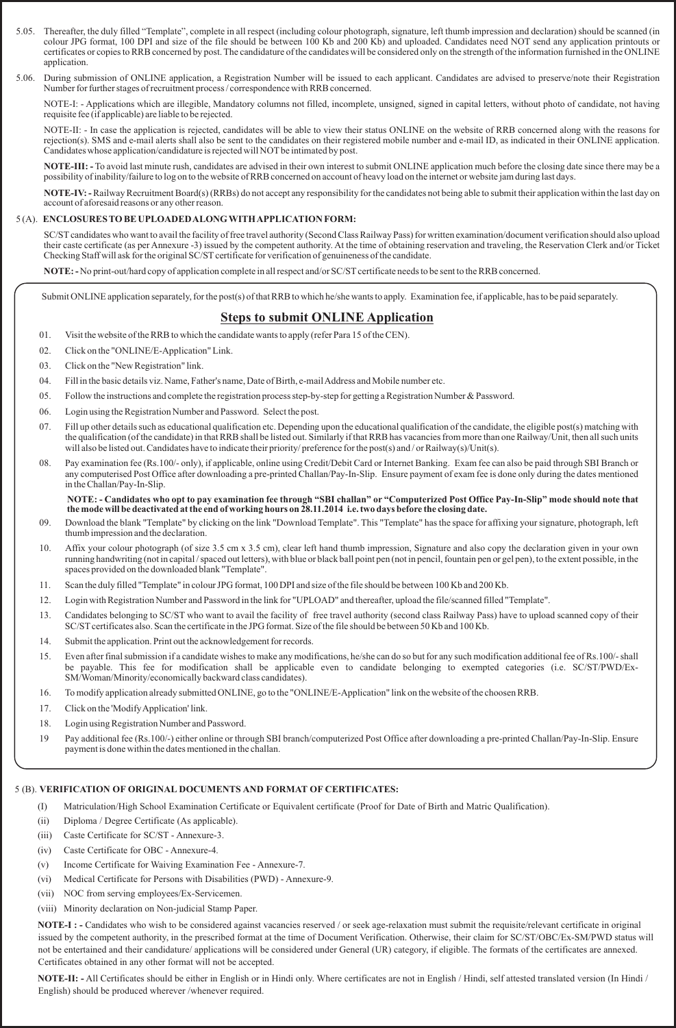- 5.05. Thereafter, the duly filled "Template", complete in all respect (including colour photograph, signature, left thumb impression and declaration) should be scanned (in colour JPG format, 100 DPI and size of the file should be between 100 Kb and 200 Kb) and uploaded. Candidates need NOT send any application printouts or certificates or copies to RRB concerned by post. The candidature of the candidates will be considered only on the strength of the information furnished in the ONLINE application.
- 5.06. During submission of ONLINE application, a Registration Number will be issued to each applicant. Candidates are advised to preserve/note their Registration Number for further stages of recruitment process / correspondence with RRB concerned.

NOTE-I: - Applications which are illegible, Mandatory columns not filled, incomplete, unsigned, signed in capital letters, without photo of candidate, not having requisite fee (if applicable) are liable to be rejected.

NOTE-II: - In case the application is rejected, candidates will be able to view their status ONLINE on the website of RRB concerned along with the reasons for rejection(s). SMS and e-mail alerts shall also be sent to the candidates on their registered mobile number and e-mail ID, as indicated in their ONLINE application. Candidates whose application/candidature is rejected will NOT be intimated by post.

**NOTE-III: -** To avoid last minute rush, candidates are advised in their own interest to submit ONLINE application much before the closing date since there may be a possibility of inability/failure to log on to the website of RRB concerned on account of heavy load on the internet or website jam during last days.

**NOTE-IV: -**Railway Recruitment Board(s) (RRBs) do not accept any responsibility for the candidates not being able to submit their application within the last day on account of aforesaid reasons or any other reason.

## 5 (A). **ENCLOSURES TO BE UPLOADED ALONG WITH APPLICATION FORM:**

SC/STcandidates who want to avail the facility of free travel authority (Second Class Railway Pass) for written examination/document verification should also upload their caste certificate (as per Annexure -3) issued by the competent authority. At the time of obtaining reservation and traveling, the Reservation Clerk and/or Ticket Checking Staff will ask for the original SC/ST certificate for verification of genuineness of the candidate.

**NOTE:** - No print-out/hard copy of application complete in all respect and/or SC/ST certificate needs to be sent to the RRB concerned.

Submit ONLINE application separately, for the post(s) of that RRB to which he/she wants to apply. Examination fee, if applicable, has to be paid separately.

# **Steps to submit ONLINE Application**

- 01. Visit the website of the RRB to which the candidate wants to apply (refer Para 15 of the CEN).
- 02. Click on the "ONLINE/E-Application" Link.
- 03. Click on the "New Registration" link.
- 04. Fill in the basic details viz. Name, Father's name, Date of Birth, e-mail Address and Mobile number etc.
- 05. Follow the instructions and complete the registration process step-by-step for getting a Registration Number & Password.
- 06. Login using the Registration Number and Password. Select the post.
- 07. Fill up other details such as educational qualification etc. Depending upon the educational qualification of the candidate, the eligible post(s) matching with the qualification (of the candidate) in that RRB shall be listed out. Similarly if that RRB has vacancies from more than one Railway/Unit, then all such units will also be listed out. Candidates have to indicate their priority/ preference for the post(s) and/or Railway(s)/Unit(s).
- 08. Pay examination fee (Rs.100/- only), if applicable, online using Credit/Debit Card or Internet Banking. Exam fee can also be paid through SBI Branch or any computerised Post Office after downloading a pre-printed Challan/Pay-In-Slip. Ensure payment of exam fee is done only during the dates mentioned in the Challan/Pay-In-Slip.

**NOTE: - Candidates who opt to pay examination fee through "SBI challan" or "Computerized Post Office Pay-In-Slip" mode should note that the mode will be deactivated at the end of working hours on 28.11.2014 i.e. two days before the closing date.**

- 09. Download the blank "Template" by clicking on the link "Download Template". This "Template" has the space for affixing your signature, photograph, left thumb impression and the declaration.
- 10. Affix your colour photograph (of size 3.5 cm x 3.5 cm), clear left hand thumb impression, Signature and also copy the declaration given in your own running handwriting (not in capital / spaced out letters), with blue or black ball point pen (not in pencil, fountain pen or gel pen), to the extent possible, in the spaces provided on the downloaded blank "Template".
- 11. Scan the duly filled "Template" in colour JPG format, 100 DPI and size of the file should be between 100 Kb and 200 Kb.
- 12. Login with Registration Number and Password in the link for "UPLOAD" and thereafter, upload the file/scanned filled "Template".
- 13. Candidates belonging to SC/ST who want to avail the facility of free travel authority (second class Railway Pass) have to upload scanned copy of their SC/ST certificates also. Scan the certificate in the JPG format. Size of the file should be between 50 Kb and 100 Kb.
- 14. Submit the application. Print out the acknowledgement for records.
- 15. Even after final submission if a candidate wishes to make any modifications, he/she can do so but for any such modification additional fee of Rs.100/- shall be payable. This fee for modification shall be applicable even to candidate belonging to exempted categories (i.e. SC/ST/PWD/Ex-SM/Woman/Minority/economically backward class candidates).
- 16. To modify application already submitted ONLINE, go to the "ONLINE/E-Application" link on the website of the choosen RRB.
- 17. Click on the 'Modify Application' link.
- 18. Login using Registration Number and Password.
- 19 Pay additional fee (Rs.100/-) either online or through SBI branch/computerized Post Office after downloading a pre-printed Challan/Pay-In-Slip. Ensure payment is done within the dates mentioned in the challan.

### 5 (B). **VERIFICATION OF ORIGINAL DOCUMENTS AND FORMAT OF CERTIFICATES:**

- (I) Matriculation/High School Examination Certificate or Equivalent certificate (Proof for Date of Birth and Matric Qualification).
- (ii) Diploma / Degree Certificate (As applicable).
- (iii) Caste Certificate for SC/ST Annexure-3.
- (iv) Caste Certificate for OBC Annexure-4.
- (v) Income Certificate for Waiving Examination Fee Annexure-7.
- (vi) Medical Certificate for Persons with Disabilities (PWD) Annexure-9.
- (vii) NOC from serving employees/Ex-Servicemen.
- (viii) Minority declaration on Non-judicial Stamp Paper.

**NOTE-I : -** Candidates who wish to be considered against vacancies reserved / or seek age-relaxation must submit the requisite/relevant certificate in original issued by the competent authority, in the prescribed format at the time of Document Verification. Otherwise, their claim for SC/ST/OBC/Ex-SM/PWD status will not be entertained and their candidature/ applications will be considered under General (UR) category, if eligible. The formats of the certificates are annexed. Certificates obtained in any other format will not be accepted.

**NOTE-II: -** All Certificates should be either in English or in Hindi only. Where certificates are not in English / Hindi, self attested translated version (In Hindi / English) should be produced wherever /whenever required.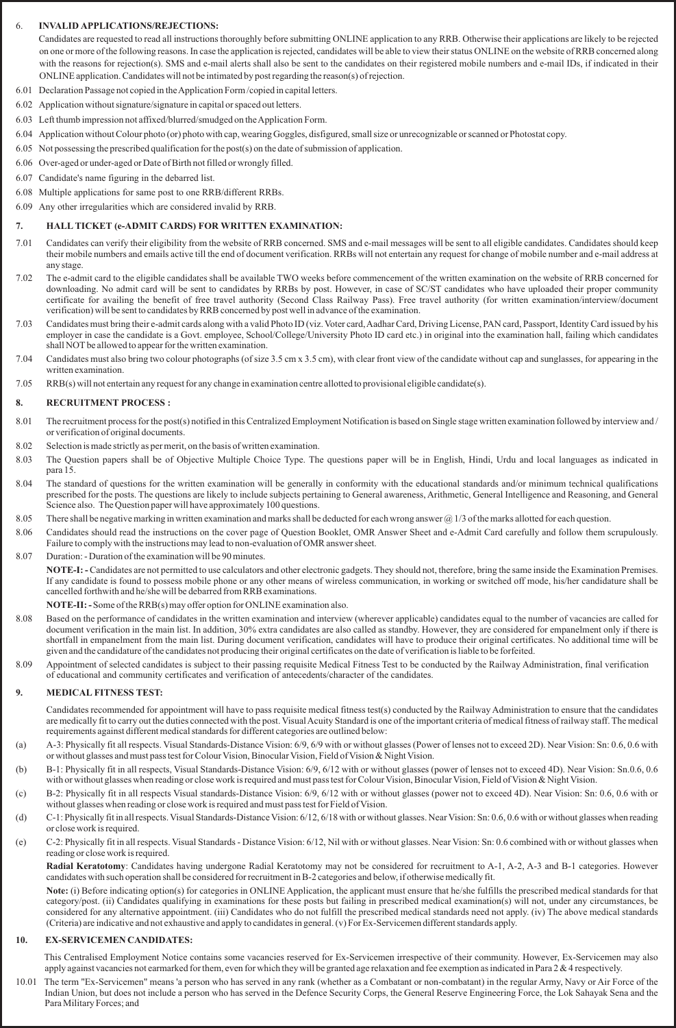# 6. **INVALID APPLICATIONS/REJECTIONS:**

Candidates are requested to read all instructions thoroughly before submitting ONLINE application to any RRB. Otherwise their applications are likely to be rejected on one or more of the following reasons. In case the application is rejected, candidates will be able to view their status ONLINE on the website of RRB concerned along with the reasons for rejection(s). SMS and e-mail alerts shall also be sent to the candidates on their registered mobile numbers and e-mail IDs, if indicated in their ONLINE application. Candidates will not be intimated by post regarding the reason(s) of rejection.

- 6.01 Declaration Passage not copied in the Application Form /copied in capital letters.
- 6.02 Application without signature/signature in capital or spaced out letters.
- 6.03 Left thumb impression not affixed/blurred/smudged on the Application Form.
- 6.04 Application without Colour photo (or) photo with cap, wearing Goggles, disfigured, small size or unrecognizable or scanned or Photostat copy.
- 6.05 Not possessing the prescribed qualification for the post(s) on the date of submission of application.
- 6.06 Over-aged or under-aged or Date of Birth not filled or wrongly filled.
- 6.07 Candidate's name figuring in the debarred list.
- 6.08 Multiple applications for same post to one RRB/different RRBs.
- 6.09 Any other irregularities which are considered invalid by RRB.

## **7. HALL TICKET (e-ADMIT CARDS) FOR WRITTEN EXAMINATION:**

- 7.01 Candidates can verify their eligibility from the website of RRB concerned. SMS and e-mail messages will be sent to all eligible candidates. Candidates should keep their mobile numbers and emails active till the end of document verification. RRBs will not entertain any request for change of mobile number and e-mail address at any stage.
- 7.02 The e-admit card to the eligible candidates shall be available TWO weeks before commencement of the written examination on the website of RRB concerned for downloading. No admit card will be sent to candidates by RRBs by post. However, in case of SC/ST candidates who have uploaded their proper community certificate for availing the benefit of free travel authority (Second Class Railway Pass). Free travel authority (for written examination/interview/document verification) will be sent to candidates by RRB concerned by post well in advance of the examination.
- 7.03 Candidates must bring their e-admit cards along with a valid Photo ID (viz. Voter card, Aadhar Card, Driving License, PAN card, Passport, Identity Card issued by his employer in case the candidate is a Govt. employee, School/College/University Photo ID card etc.) in original into the examination hall, failing which candidates shall NOT be allowed to appear for the written examination.
- 7.04 Candidates must also bring two colour photographs (of size 3.5 cm x 3.5 cm), with clear front view of the candidate without cap and sunglasses, for appearing in the written examination.
- 7.05 RRB(s) will not entertain any request for any change in examination centre allotted to provisional eligible candidate(s).

### **8. RECRUITMENT PROCESS :**

- 8.01 The recruitment process for the post(s) notified in this Centralized Employment Notification is based on Single stage written examination followed by interview and / or verification of original documents.
- 8.02 Selection is made strictly as per merit, on the basis of written examination.
- 8.03 The Question papers shall be of Objective Multiple Choice Type. The questions paper will be in English, Hindi, Urdu and local languages as indicated in para 15.
- 8.04 The standard of questions for the written examination will be generally in conformity with the educational standards and/or minimum technical qualifications prescribed for the posts. The questions are likely to include subjects pertaining to General awareness, Arithmetic, General Intelligence and Reasoning, and General Science also. The Question paper will have approximately 100 questions.
- 8.05 There shall be negative marking in written examination and marks shall be deducted for each wrong answer  $\omega$  1/3 of the marks allotted for each question.
- 8.06 Candidates should read the instructions on the cover page of Question Booklet, OMR Answer Sheet and e-Admit Card carefully and follow them scrupulously. Failure to comply with the instructions may lead to non-evaluation of OMR answer sheet.
- 8.07 Duration: Duration of the examination will be 90 minutes.

**NOTE-I: -** Candidates are not permitted to use calculators and other electronic gadgets. They should not, therefore, bring the same inside the Examination Premises. If any candidate is found to possess mobile phone or any other means of wireless communication, in working or switched off mode, his/her candidature shall be cancelled forthwith and he/she will be debarred from RRB examinations.

**NOTE-II: -**Some of the RRB(s) may offer option for ONLINE examination also.

- 8.08 Based on the performance of candidates in the written examination and interview (wherever applicable) candidates equal to the number of vacancies are called for document verification in the main list. In addition, 30% extra candidates are also called as standby. However, they are considered for empanelment only if there is shortfall in empanelment from the main list. During document verification, candidates will have to produce their original certificates. No additional time will be given and the candidature of the candidates not producing their original certificates on the date of verification is liable to be forfeited.
- 8.09 Appointment of selected candidates is subject to their passing requisite Medical Fitness Test to be conducted by the Railway Administration, final verification of educational and community certificates and verification of antecedents/character of the candidates.

### **9. MEDICAL FITNESS TEST:**

Candidates recommended for appointment will have to pass requisite medical fitness test(s) conducted by the Railway Administration to ensure that the candidates are medically fit to carry out the duties connected with the post. Visual Acuity Standard is one of the important criteria of medical fitness of railway staff. The medical requirements against different medical standards for different categories are outlined below:

- (a) A-3: Physically fit all respects. Visual Standards-Distance Vision: 6/9, 6/9 with or without glasses (Power of lenses not to exceed 2D). Near Vision: Sn: 0.6, 0.6 with or without glasses and must pass test for Colour Vision, Binocular Vision, Field of Vision & Night Vision.
- (b) B-1: Physically fit in all respects, Visual Standards-Distance Vision: 6/9, 6/12 with or without glasses (power of lenses not to exceed 4D). Near Vision: Sn.0.6, 0.6 with or without glasses when reading or close work is required and must pass test for Colour Vision, Binocular Vision, Field of Vision & Night Vision.
- (c) B-2: Physically fit in all respects Visual standards-Distance Vision: 6/9, 6/12 with or without glasses (power not to exceed 4D). Near Vision: Sn: 0.6, 0.6 with or without glasses when reading or close work is required and must pass test for Field of Vision.
- (d) C-1: Physically fit in all respects. Visual Standards-Distance Vision: 6/12, 6/18 with or without glasses. Near Vision: Sn: 0.6, 0.6 with or without glasses when reading or close work is required.
- (e) C-2: Physically fit in all respects. Visual Standards Distance Vision: 6/12, Nil with or without glasses. Near Vision: Sn: 0.6 combined with or without glasses when reading or close work is required.

**Radial Keratotomy**: Candidates having undergone Radial Keratotomy may not be considered for recruitment to A-1, A-2, A-3 and B-1 categories. However candidates with such operation shall be considered for recruitment in B-2 categories and below, if otherwise medically fit.

**Note:** (i) Before indicating option(s) for categories in ONLINE Application, the applicant must ensure that he/she fulfills the prescribed medical standards for that category/post. (ii) Candidates qualifying in examinations for these posts but failing in prescribed medical examination(s) will not, under any circumstances, be considered for any alternative appointment. (iii) Candidates who do not fulfill the prescribed medical standards need not apply. (iv) The above medical standards (Criteria) are indicative and not exhaustive and apply to candidates in general. (v) For Ex-Servicemen different standards apply.

### **10. EX-SERVICEMEN CANDIDATES:**

This Centralised Employment Notice contains some vacancies reserved for Ex-Servicemen irrespective of their community. However, Ex-Servicemen may also apply against vacancies not earmarked for them, even for which they will be granted age relaxation and fee exemption as indicated in Para  $2 \& 4$  respectively.

10.01 The term "Ex-Servicemen" means 'a person who has served in any rank (whether as a Combatant or non-combatant) in the regular Army, Navy or Air Force of the Indian Union, but does not include a person who has served in the Defence Security Corps, the General Reserve Engineering Force, the Lok Sahayak Sena and the Para Military Forces; and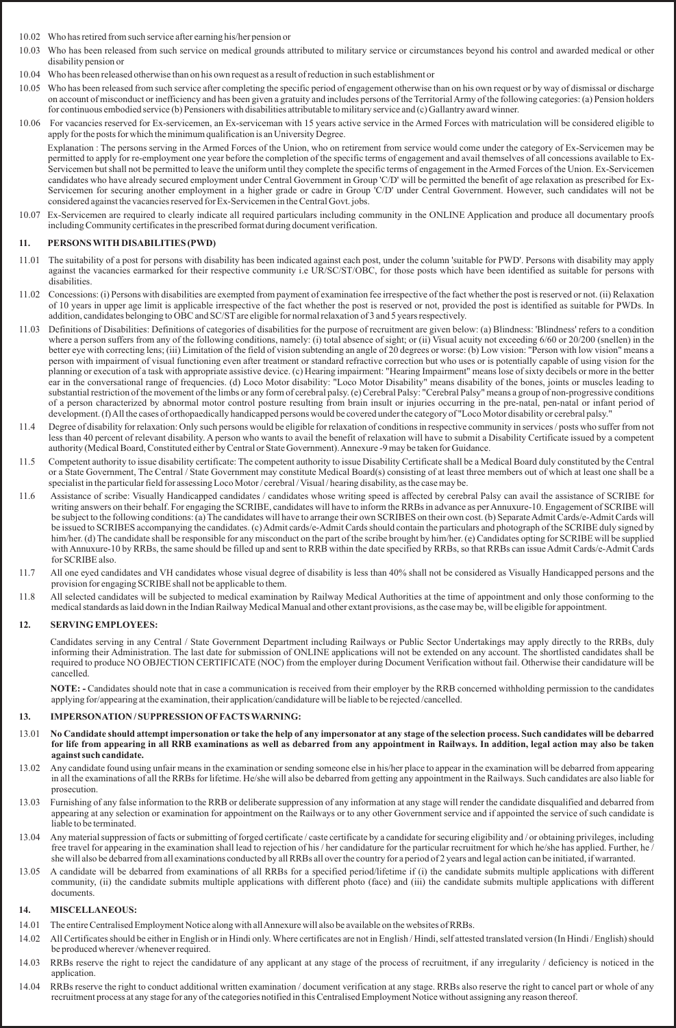- 10.02 Who has retired from such service after earning his/her pension or
- 10.03 Who has been released from such service on medical grounds attributed to military service or circumstances beyond his control and awarded medical or other disability pension or
- 10.04 Who has been released otherwise than on his own request as a result of reduction in such establishment or
- 10.05 Who has been released from such service after completing the specific period of engagement otherwise than on his own request or by way of dismissal or discharge on account of misconduct or inefficiency and has been given a gratuity and includes persons of the Territorial Army of the following categories: (a) Pension holders for continuous embodied service (b) Pensioners with disabilities attributable to military service and (c) Gallantry award winner.
- 10.06 For vacancies reserved for Ex-servicemen, an Ex-serviceman with 15 years active service in the Armed Forces with matriculation will be considered eligible to apply for the posts for which the minimum qualification is an University Degree.

Explanation : The persons serving in the Armed Forces of the Union, who on retirement from service would come under the category of Ex-Servicemen may be permitted to apply for re-employment one year before the completion of the specific terms of engagement and avail themselves of all concessions available to Ex-Servicemen but shall not be permitted to leave the uniform until they complete the specific terms of engagement in the Armed Forces of the Union. Ex-Servicemen candidates who have already secured employment under Central Government in Group 'C/D' will be permitted the benefit of age relaxation as prescribed for Ex-Servicemen for securing another employment in a higher grade or cadre in Group 'C/D' under Central Government. However, such candidates will not be considered against the vacancies reserved for Ex-Servicemen in the Central Govt. jobs.

10.07 Ex-Servicemen are required to clearly indicate all required particulars including community in the ONLINE Application and produce all documentary proofs including Community certificates in the prescribed format during document verification.

## **11. PERSONS WITH DISABILITIES (PWD)**

- 11.01 The suitability of a post for persons with disability has been indicated against each post, under the column 'suitable for PWD'. Persons with disability may apply against the vacancies earmarked for their respective community i.e UR/SC/ST/OBC, for those posts which have been identified as suitable for persons with disabilities.
- 11.02 Concessions: (i) Persons with disabilities are exempted from payment of examination fee irrespective of the fact whether the post is reserved or not. (ii) Relaxation of 10 years in upper age limit is applicable irrespective of the fact whether the post is reserved or not, provided the post is identified as suitable for PWDs. In addition, candidates belonging to OBC and SC/ST are eligible for normal relaxation of 3 and 5 years respectively.
- 11.03 Definitions of Disabilities: Definitions of categories of disabilities for the purpose of recruitment are given below: (a) Blindness: 'Blindness' refers to a condition where a person suffers from any of the following conditions, namely: (i) total absence of sight; or (ii) Visual acuity not exceeding 6/60 or 20/200 (snellen) in the better eye with correcting lens; (iii) Limitation of the field of vision subtending an angle of 20 degrees or worse: (b) Low vision: "Person with low vision" means a person with impairment of visual functioning even after treatment or standard refractive correction but who uses or is potentially capable of using vision for the planning or execution of a task with appropriate assistive device. (c) Hearing impairment: "Hearing Impairment" means lose of sixty decibels or more in the better ear in the conversational range of frequencies. (d) Loco Motor disability: "Loco Motor Disability" means disability of the bones, joints or muscles leading to substantial restriction of the movement of the limbs or any form of cerebral palsy. (e) Cerebral Palsy: "Cerebral Palsy" means a group of non-progressive conditions of a person characterized by abnormal motor control posture resulting from brain insult or injuries occurring in the pre-natal, pen-natal or infant period of development. (f) All the cases of orthopaedically handicapped persons would be covered under the category of "Loco Motor disability or cerebral palsy."
- 11.4 Degree of disability for relaxation: Only such persons would be eligible for relaxation of conditions in respective community in services / posts who suffer from not less than 40 percent of relevant disability. A person who wants to avail the benefit of relaxation will have to submit a Disability Certificate issued by a competent authority (Medical Board, Constituted either by Central or State Government). Annexure -9 may be taken for Guidance.
- 11.5 Competent authority to issue disability certificate: The competent authority to issue Disability Certificate shall be a Medical Board duly constituted by the Central or a State Government, The Central / State Government may constitute Medical Board(s) consisting of at least three members out of which at least one shall be a specialist in the particular field for assessing Loco Motor / cerebral / Visual / hearing disability, as the case may be.
- 11.6 Assistance of scribe: Visually Handicapped candidates / candidates whose writing speed is affected by cerebral Palsy can avail the assistance of SCRIBE for writing answers on their behalf. For engaging the SCRIBE, candidates will have to inform the RRBs in advance as per Annuxure-10. Engagement of SCRIBE will be subject to the following conditions: (a) The candidates will have to arrange their own SCRIBES on their own cost. (b) Separate Admit Cards/e-Admit Cards will be issued to SCRIBES accompanying the candidates. (c) Admit cards/e-Admit Cards should contain the particulars and photograph of the SCRIBE duly signed by him/her. (d) The candidate shall be responsible for any misconduct on the part of the scribe brought by him/her. (e) Candidates opting for SCRIBE will be supplied with Annuxure-10 by RRBs, the same should be filled up and sent to RRB within the date specified by RRBs, so that RRBs can issue Admit Cards/e-Admit Cards for SCRIBE also.
- 11.7 All one eyed candidates and VH candidates whose visual degree of disability is less than 40% shall not be considered as Visually Handicapped persons and the provision for engaging SCRIBE shall not be applicable to them.
- 11.8 All selected candidates will be subjected to medical examination by Railway Medical Authorities at the time of appointment and only those conforming to the medical standards as laid down in the Indian Railway Medical Manual and other extant provisions, as the case may be, will be eligible for appointment.

### **12. SERVING EMPLOYEES:**

Candidates serving in any Central / State Government Department including Railways or Public Sector Undertakings may apply directly to the RRBs, duly informing their Administration. The last date for submission of ONLINE applications will not be extended on any account. The shortlisted candidates shall be required to produce NO OBJECTION CERTIFICATE (NOC) from the employer during Document Verification without fail. Otherwise their candidature will be cancelled.

**NOTE: -** Candidates should note that in case a communication is received from their employer by the RRB concerned withholding permission to the candidates applying for/appearing at the examination, their application/candidature will be liable to be rejected /cancelled.

### **13. IMPERSONATION / SUPPRESSION OFFACTS WARNING:**

- 13.01 **No Candidate should attempt impersonation or take the help of any impersonator at any stage of the selection process. Such candidates will be debarred for life from appearing in all RRB examinations as well as debarred from any appointment in Railways. In addition, legal action may also be taken against such candidate.**
- 13.02 Any candidate found using unfair means in the examination or sending someone else in his/her place to appear in the examination will be debarred from appearing in all the examinations of all the RRBs for lifetime. He/she will also be debarred from getting any appointment in the Railways. Such candidates are also liable for prosecution.
- 13.03 Furnishing of any false information to the RRB or deliberate suppression of any information at any stage will render the candidate disqualified and debarred from appearing at any selection or examination for appointment on the Railways or to any other Government service and if appointed the service of such candidate is liable to be terminated.
- 13.04 Any material suppression of facts or submitting of forged certificate / caste certificate by a candidate for securing eligibility and / or obtaining privileges, including free travel for appearing in the examination shall lead to rejection of his / her candidature for the particular recruitment for which he/she has applied. Further, he/ she will also be debarred from all examinations conducted by all RRBs all over the country for a period of 2 years and legal action can be initiated, if warranted.
- 13.05 A candidate will be debarred from examinations of all RRBs for a specified period/lifetime if (i) the candidate submits multiple applications with different community, (ii) the candidate submits multiple applications with different photo (face) and (iii) the candidate submits multiple applications with different documents.

### **14. MISCELLANEOUS:**

- 14.01 The entire Centralised Employment Notice along with all Annexure will also be available on the websites of RRBs.
- 14.02 All Certificates should be either in English or in Hindi only. Where certificates are not in English / Hindi, self attested translated version (In Hindi / English) should be produced wherever /whenever required.
- 14.03 RRBs reserve the right to reject the candidature of any applicant at any stage of the process of recruitment, if any irregularity / deficiency is noticed in the application.
- 14.04 RRBs reserve the right to conduct additional written examination / document verification at any stage. RRBs also reserve the right to cancel part or whole of any recruitment process at any stage for any of the categories notified in this Centralised Employment Notice without assigning any reason thereof.